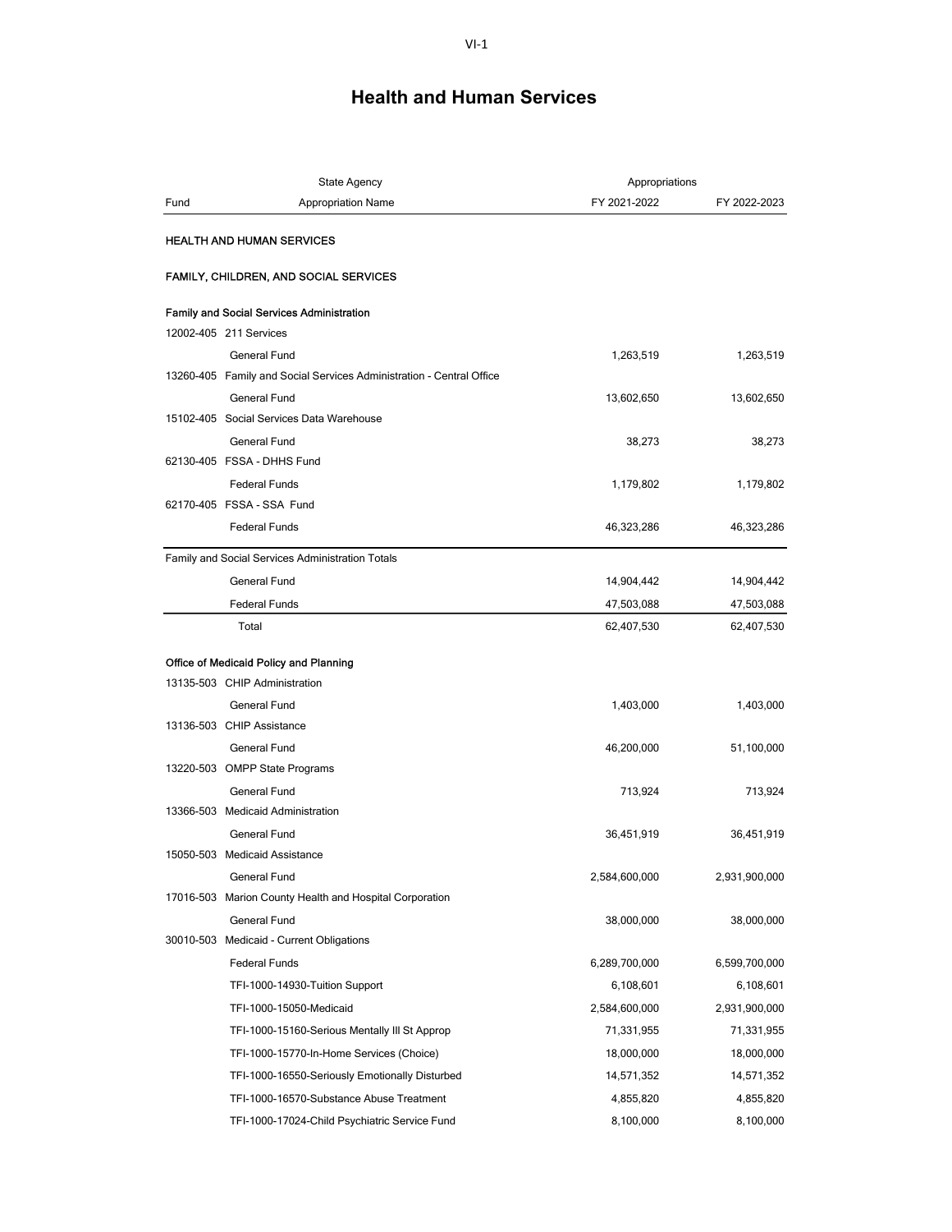|      | <b>State Agency</b>                                                  | Appropriations |               |
|------|----------------------------------------------------------------------|----------------|---------------|
| Fund | <b>Appropriation Name</b>                                            | FY 2021-2022   | FY 2022-2023  |
|      | <b>HEALTH AND HUMAN SERVICES</b>                                     |                |               |
|      | FAMILY, CHILDREN, AND SOCIAL SERVICES                                |                |               |
|      | <b>Family and Social Services Administration</b>                     |                |               |
|      | 12002-405 211 Services                                               |                |               |
|      | <b>General Fund</b>                                                  | 1,263,519      | 1,263,519     |
|      | 13260-405 Family and Social Services Administration - Central Office |                |               |
|      | <b>General Fund</b>                                                  | 13,602,650     | 13,602,650    |
|      | 15102-405 Social Services Data Warehouse                             |                |               |
|      | General Fund                                                         | 38,273         | 38,273        |
|      | 62130-405 FSSA - DHHS Fund                                           |                |               |
|      | <b>Federal Funds</b>                                                 | 1,179,802      | 1,179,802     |
|      | 62170-405 FSSA - SSA Fund                                            |                |               |
|      | <b>Federal Funds</b>                                                 | 46,323,286     | 46,323,286    |
|      | Family and Social Services Administration Totals                     |                |               |
|      | General Fund                                                         | 14,904,442     | 14,904,442    |
|      | <b>Federal Funds</b>                                                 | 47,503,088     | 47,503,088    |
|      | Total                                                                | 62,407,530     | 62,407,530    |
|      | Office of Medicaid Policy and Planning                               |                |               |
|      | 13135-503 CHIP Administration                                        |                |               |
|      | General Fund                                                         | 1,403,000      | 1,403,000     |
|      | 13136-503 CHIP Assistance                                            |                |               |
|      | <b>General Fund</b>                                                  | 46,200,000     | 51,100,000    |
|      | 13220-503 OMPP State Programs                                        |                |               |
|      | <b>General Fund</b>                                                  | 713,924        | 713,924       |
|      | 13366-503 Medicaid Administration                                    |                |               |
|      | General Fund                                                         | 36,451,919     | 36,451,919    |
|      | 15050-503 Medicaid Assistance                                        |                |               |
|      | General Fund                                                         | 2,584,600,000  | 2,931,900,000 |
|      | 17016-503 Marion County Health and Hospital Corporation              |                |               |
|      | General Fund                                                         | 38,000,000     | 38,000,000    |
|      | 30010-503 Medicaid - Current Obligations                             |                |               |
|      | <b>Federal Funds</b>                                                 | 6,289,700,000  | 6,599,700,000 |
|      | TFI-1000-14930-Tuition Support                                       | 6,108,601      | 6,108,601     |
|      | TFI-1000-15050-Medicaid                                              | 2,584,600,000  | 2,931,900,000 |
|      | TFI-1000-15160-Serious Mentally III St Approp                        | 71,331,955     | 71,331,955    |
|      | TFI-1000-15770-In-Home Services (Choice)                             | 18,000,000     | 18,000,000    |
|      | TFI-1000-16550-Seriously Emotionally Disturbed                       | 14,571,352     | 14,571,352    |
|      | TFI-1000-16570-Substance Abuse Treatment                             | 4,855,820      | 4,855,820     |
|      | TFI-1000-17024-Child Psychiatric Service Fund                        | 8,100,000      | 8,100,000     |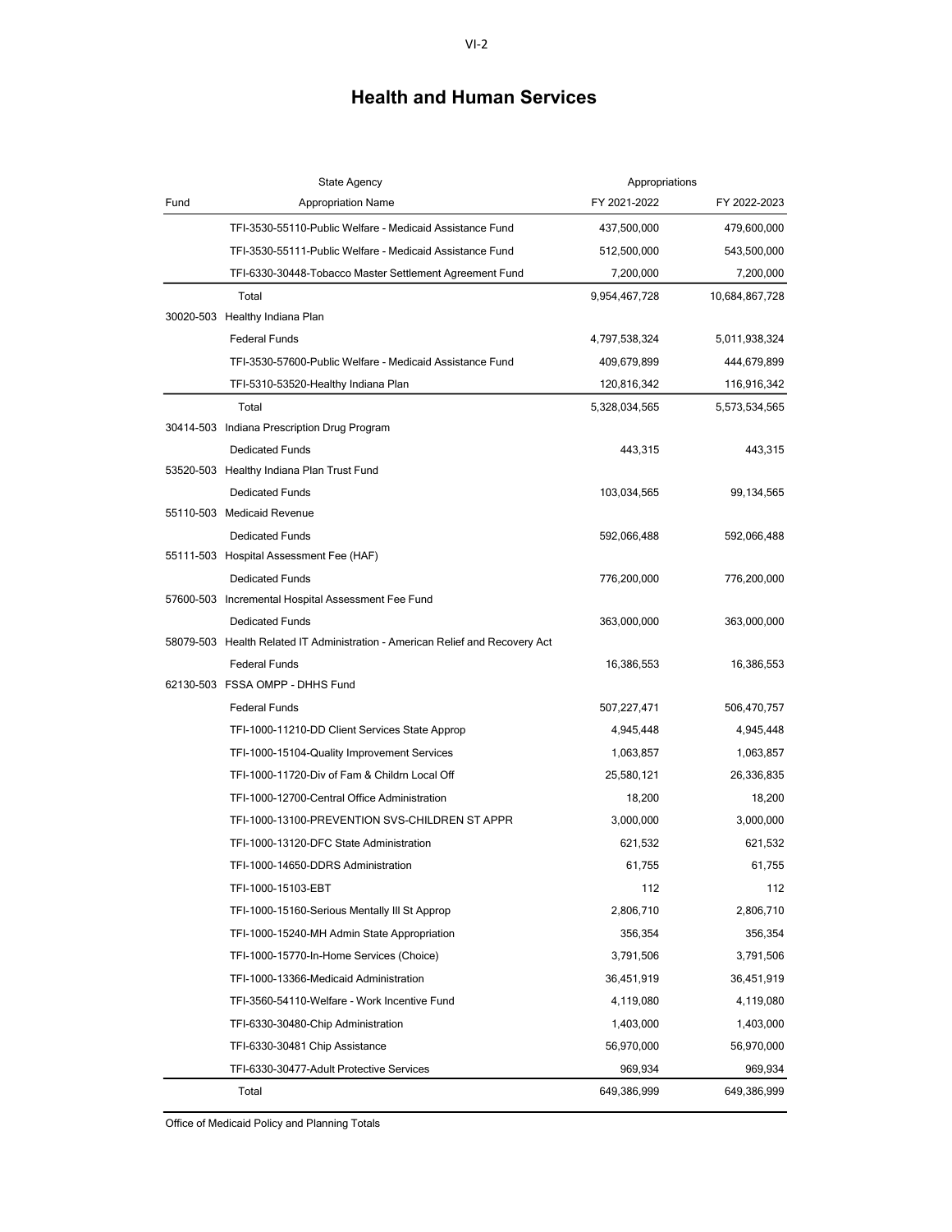|      | <b>State Agency</b>                                                           | Appropriations |                |
|------|-------------------------------------------------------------------------------|----------------|----------------|
| Fund | <b>Appropriation Name</b>                                                     | FY 2021-2022   | FY 2022-2023   |
|      | TFI-3530-55110-Public Welfare - Medicaid Assistance Fund                      | 437,500,000    | 479,600,000    |
|      | TFI-3530-55111-Public Welfare - Medicaid Assistance Fund                      | 512,500,000    | 543,500,000    |
|      | TFI-6330-30448-Tobacco Master Settlement Agreement Fund                       | 7,200,000      | 7,200,000      |
|      | Total                                                                         | 9,954,467,728  | 10,684,867,728 |
|      | 30020-503 Healthy Indiana Plan                                                |                |                |
|      | <b>Federal Funds</b>                                                          | 4,797,538,324  | 5,011,938,324  |
|      | TFI-3530-57600-Public Welfare - Medicaid Assistance Fund                      | 409,679,899    | 444,679,899    |
|      | TFI-5310-53520-Healthy Indiana Plan                                           | 120,816,342    | 116,916,342    |
|      | Total                                                                         | 5,328,034,565  | 5,573,534,565  |
|      | 30414-503 Indiana Prescription Drug Program                                   |                |                |
|      | <b>Dedicated Funds</b>                                                        | 443,315        | 443,315        |
|      | 53520-503 Healthy Indiana Plan Trust Fund                                     |                |                |
|      | <b>Dedicated Funds</b>                                                        | 103,034,565    | 99,134,565     |
|      | 55110-503 Medicaid Revenue                                                    |                |                |
|      | <b>Dedicated Funds</b>                                                        | 592,066,488    | 592,066,488    |
|      | 55111-503 Hospital Assessment Fee (HAF)                                       |                |                |
|      | <b>Dedicated Funds</b>                                                        | 776,200,000    | 776,200,000    |
|      | 57600-503 Incremental Hospital Assessment Fee Fund                            |                |                |
|      | <b>Dedicated Funds</b>                                                        | 363,000,000    | 363,000,000    |
|      | 58079-503 Health Related IT Administration - American Relief and Recovery Act |                |                |
|      | <b>Federal Funds</b>                                                          | 16,386,553     | 16,386,553     |
|      | 62130-503 FSSA OMPP - DHHS Fund                                               |                |                |
|      | <b>Federal Funds</b>                                                          | 507,227,471    | 506,470,757    |
|      | TFI-1000-11210-DD Client Services State Approp                                | 4,945,448      | 4,945,448      |
|      | TFI-1000-15104-Quality Improvement Services                                   | 1,063,857      | 1,063,857      |
|      | TFI-1000-11720-Div of Fam & Childrn Local Off                                 | 25,580,121     | 26,336,835     |
|      | TFI-1000-12700-Central Office Administration                                  | 18,200         | 18,200         |
|      | TFI-1000-13100-PREVENTION SVS-CHILDREN ST APPR                                | 3,000,000      | 3,000,000      |
|      | TFI-1000-13120-DFC State Administration                                       | 621,532        | 621,532        |
|      | TFI-1000-14650-DDRS Administration                                            | 61.755         | 61,755         |
|      | TFI-1000-15103-EBT                                                            | 112            | 112            |
|      | TFI-1000-15160-Serious Mentally III St Approp                                 | 2,806,710      | 2,806,710      |
|      | TFI-1000-15240-MH Admin State Appropriation                                   | 356,354        | 356,354        |
|      | TFI-1000-15770-In-Home Services (Choice)                                      | 3,791,506      | 3,791,506      |
|      | TFI-1000-13366-Medicaid Administration                                        | 36,451,919     | 36,451,919     |
|      | TFI-3560-54110-Welfare - Work Incentive Fund                                  | 4,119,080      | 4,119,080      |
|      | TFI-6330-30480-Chip Administration                                            | 1,403,000      | 1,403,000      |
|      | TFI-6330-30481 Chip Assistance                                                | 56,970,000     | 56,970,000     |
|      | TFI-6330-30477-Adult Protective Services                                      | 969,934        | 969,934        |
|      | Total                                                                         | 649,386,999    | 649,386,999    |

Office of Medicaid Policy and Planning Totals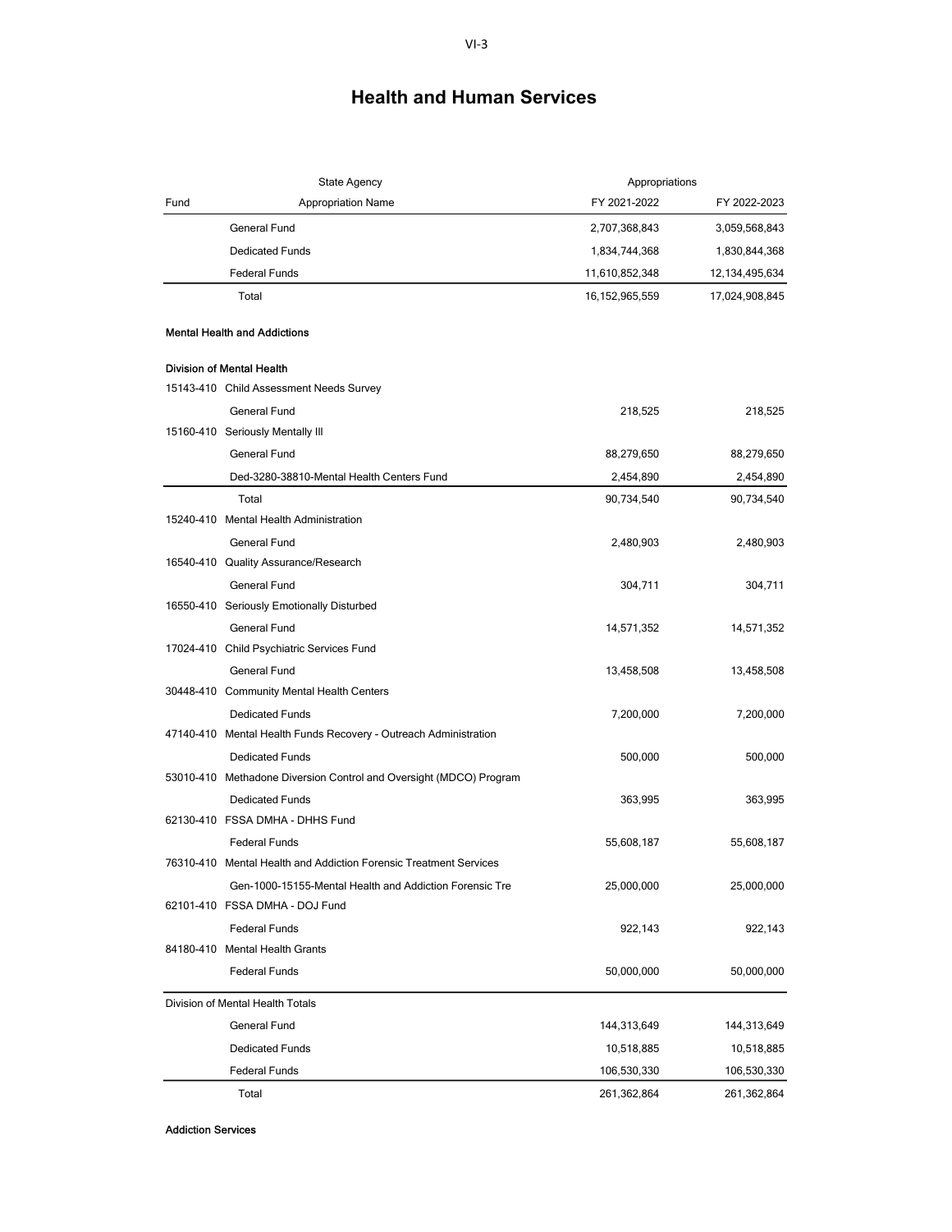| Fund<br>FY 2021-2022<br><b>Appropriation Name</b><br>FY 2022-2023<br><b>General Fund</b><br>2,707,368,843<br>3,059,568,843<br><b>Dedicated Funds</b><br>1,834,744,368<br>1,830,844,368<br><b>Federal Funds</b><br>11,610,852,348<br>12, 134, 495, 634<br>Total<br>17,024,908,845<br>16, 152, 965, 559<br><b>Mental Health and Addictions</b><br><b>Division of Mental Health</b><br>15143-410 Child Assessment Needs Survey<br>General Fund<br>218,525<br>218,525<br>15160-410 Seriously Mentally III<br>General Fund<br>88,279,650<br>88,279,650<br>Ded-3280-38810-Mental Health Centers Fund<br>2,454,890<br>2,454,890<br>Total<br>90,734,540<br>90,734,540<br>15240-410 Mental Health Administration<br><b>General Fund</b><br>2,480,903<br>2,480,903<br>16540-410 Quality Assurance/Research<br><b>General Fund</b><br>304,711<br>304,711<br>16550-410 Seriously Emotionally Disturbed<br>General Fund<br>14,571,352<br>14,571,352<br>17024-410 Child Psychiatric Services Fund<br>General Fund<br>13,458,508<br>13,458,508<br>30448-410 Community Mental Health Centers<br><b>Dedicated Funds</b><br>7,200,000<br>7,200,000<br>47140-410 Mental Health Funds Recovery - Outreach Administration<br><b>Dedicated Funds</b><br>500,000<br>500,000<br>53010-410 Methadone Diversion Control and Oversight (MDCO) Program<br><b>Dedicated Funds</b><br>363,995<br>363,995<br>62130-410 FSSA DMHA - DHHS Fund<br><b>Federal Funds</b><br>55,608,187<br>55,608,187 | <b>State Agency</b> | Appropriations |  |
|-------------------------------------------------------------------------------------------------------------------------------------------------------------------------------------------------------------------------------------------------------------------------------------------------------------------------------------------------------------------------------------------------------------------------------------------------------------------------------------------------------------------------------------------------------------------------------------------------------------------------------------------------------------------------------------------------------------------------------------------------------------------------------------------------------------------------------------------------------------------------------------------------------------------------------------------------------------------------------------------------------------------------------------------------------------------------------------------------------------------------------------------------------------------------------------------------------------------------------------------------------------------------------------------------------------------------------------------------------------------------------------------------------------------------------------------------------------------|---------------------|----------------|--|
|                                                                                                                                                                                                                                                                                                                                                                                                                                                                                                                                                                                                                                                                                                                                                                                                                                                                                                                                                                                                                                                                                                                                                                                                                                                                                                                                                                                                                                                                   |                     |                |  |
|                                                                                                                                                                                                                                                                                                                                                                                                                                                                                                                                                                                                                                                                                                                                                                                                                                                                                                                                                                                                                                                                                                                                                                                                                                                                                                                                                                                                                                                                   |                     |                |  |
|                                                                                                                                                                                                                                                                                                                                                                                                                                                                                                                                                                                                                                                                                                                                                                                                                                                                                                                                                                                                                                                                                                                                                                                                                                                                                                                                                                                                                                                                   |                     |                |  |
|                                                                                                                                                                                                                                                                                                                                                                                                                                                                                                                                                                                                                                                                                                                                                                                                                                                                                                                                                                                                                                                                                                                                                                                                                                                                                                                                                                                                                                                                   |                     |                |  |
|                                                                                                                                                                                                                                                                                                                                                                                                                                                                                                                                                                                                                                                                                                                                                                                                                                                                                                                                                                                                                                                                                                                                                                                                                                                                                                                                                                                                                                                                   |                     |                |  |
|                                                                                                                                                                                                                                                                                                                                                                                                                                                                                                                                                                                                                                                                                                                                                                                                                                                                                                                                                                                                                                                                                                                                                                                                                                                                                                                                                                                                                                                                   |                     |                |  |
|                                                                                                                                                                                                                                                                                                                                                                                                                                                                                                                                                                                                                                                                                                                                                                                                                                                                                                                                                                                                                                                                                                                                                                                                                                                                                                                                                                                                                                                                   |                     |                |  |
|                                                                                                                                                                                                                                                                                                                                                                                                                                                                                                                                                                                                                                                                                                                                                                                                                                                                                                                                                                                                                                                                                                                                                                                                                                                                                                                                                                                                                                                                   |                     |                |  |
|                                                                                                                                                                                                                                                                                                                                                                                                                                                                                                                                                                                                                                                                                                                                                                                                                                                                                                                                                                                                                                                                                                                                                                                                                                                                                                                                                                                                                                                                   |                     |                |  |
|                                                                                                                                                                                                                                                                                                                                                                                                                                                                                                                                                                                                                                                                                                                                                                                                                                                                                                                                                                                                                                                                                                                                                                                                                                                                                                                                                                                                                                                                   |                     |                |  |
|                                                                                                                                                                                                                                                                                                                                                                                                                                                                                                                                                                                                                                                                                                                                                                                                                                                                                                                                                                                                                                                                                                                                                                                                                                                                                                                                                                                                                                                                   |                     |                |  |
|                                                                                                                                                                                                                                                                                                                                                                                                                                                                                                                                                                                                                                                                                                                                                                                                                                                                                                                                                                                                                                                                                                                                                                                                                                                                                                                                                                                                                                                                   |                     |                |  |
|                                                                                                                                                                                                                                                                                                                                                                                                                                                                                                                                                                                                                                                                                                                                                                                                                                                                                                                                                                                                                                                                                                                                                                                                                                                                                                                                                                                                                                                                   |                     |                |  |
|                                                                                                                                                                                                                                                                                                                                                                                                                                                                                                                                                                                                                                                                                                                                                                                                                                                                                                                                                                                                                                                                                                                                                                                                                                                                                                                                                                                                                                                                   |                     |                |  |
|                                                                                                                                                                                                                                                                                                                                                                                                                                                                                                                                                                                                                                                                                                                                                                                                                                                                                                                                                                                                                                                                                                                                                                                                                                                                                                                                                                                                                                                                   |                     |                |  |
|                                                                                                                                                                                                                                                                                                                                                                                                                                                                                                                                                                                                                                                                                                                                                                                                                                                                                                                                                                                                                                                                                                                                                                                                                                                                                                                                                                                                                                                                   |                     |                |  |
|                                                                                                                                                                                                                                                                                                                                                                                                                                                                                                                                                                                                                                                                                                                                                                                                                                                                                                                                                                                                                                                                                                                                                                                                                                                                                                                                                                                                                                                                   |                     |                |  |
|                                                                                                                                                                                                                                                                                                                                                                                                                                                                                                                                                                                                                                                                                                                                                                                                                                                                                                                                                                                                                                                                                                                                                                                                                                                                                                                                                                                                                                                                   |                     |                |  |
|                                                                                                                                                                                                                                                                                                                                                                                                                                                                                                                                                                                                                                                                                                                                                                                                                                                                                                                                                                                                                                                                                                                                                                                                                                                                                                                                                                                                                                                                   |                     |                |  |
|                                                                                                                                                                                                                                                                                                                                                                                                                                                                                                                                                                                                                                                                                                                                                                                                                                                                                                                                                                                                                                                                                                                                                                                                                                                                                                                                                                                                                                                                   |                     |                |  |
|                                                                                                                                                                                                                                                                                                                                                                                                                                                                                                                                                                                                                                                                                                                                                                                                                                                                                                                                                                                                                                                                                                                                                                                                                                                                                                                                                                                                                                                                   |                     |                |  |
|                                                                                                                                                                                                                                                                                                                                                                                                                                                                                                                                                                                                                                                                                                                                                                                                                                                                                                                                                                                                                                                                                                                                                                                                                                                                                                                                                                                                                                                                   |                     |                |  |
|                                                                                                                                                                                                                                                                                                                                                                                                                                                                                                                                                                                                                                                                                                                                                                                                                                                                                                                                                                                                                                                                                                                                                                                                                                                                                                                                                                                                                                                                   |                     |                |  |
|                                                                                                                                                                                                                                                                                                                                                                                                                                                                                                                                                                                                                                                                                                                                                                                                                                                                                                                                                                                                                                                                                                                                                                                                                                                                                                                                                                                                                                                                   |                     |                |  |
|                                                                                                                                                                                                                                                                                                                                                                                                                                                                                                                                                                                                                                                                                                                                                                                                                                                                                                                                                                                                                                                                                                                                                                                                                                                                                                                                                                                                                                                                   |                     |                |  |
|                                                                                                                                                                                                                                                                                                                                                                                                                                                                                                                                                                                                                                                                                                                                                                                                                                                                                                                                                                                                                                                                                                                                                                                                                                                                                                                                                                                                                                                                   |                     |                |  |
|                                                                                                                                                                                                                                                                                                                                                                                                                                                                                                                                                                                                                                                                                                                                                                                                                                                                                                                                                                                                                                                                                                                                                                                                                                                                                                                                                                                                                                                                   |                     |                |  |
|                                                                                                                                                                                                                                                                                                                                                                                                                                                                                                                                                                                                                                                                                                                                                                                                                                                                                                                                                                                                                                                                                                                                                                                                                                                                                                                                                                                                                                                                   |                     |                |  |
|                                                                                                                                                                                                                                                                                                                                                                                                                                                                                                                                                                                                                                                                                                                                                                                                                                                                                                                                                                                                                                                                                                                                                                                                                                                                                                                                                                                                                                                                   |                     |                |  |
| 76310-410 Mental Health and Addiction Forensic Treatment Services                                                                                                                                                                                                                                                                                                                                                                                                                                                                                                                                                                                                                                                                                                                                                                                                                                                                                                                                                                                                                                                                                                                                                                                                                                                                                                                                                                                                 |                     |                |  |
| 25,000,000<br>25,000,000<br>Gen-1000-15155-Mental Health and Addiction Forensic Tre                                                                                                                                                                                                                                                                                                                                                                                                                                                                                                                                                                                                                                                                                                                                                                                                                                                                                                                                                                                                                                                                                                                                                                                                                                                                                                                                                                               |                     |                |  |
| 62101-410 FSSA DMHA - DOJ Fund                                                                                                                                                                                                                                                                                                                                                                                                                                                                                                                                                                                                                                                                                                                                                                                                                                                                                                                                                                                                                                                                                                                                                                                                                                                                                                                                                                                                                                    |                     |                |  |
| <b>Federal Funds</b><br>922,143<br>922,143                                                                                                                                                                                                                                                                                                                                                                                                                                                                                                                                                                                                                                                                                                                                                                                                                                                                                                                                                                                                                                                                                                                                                                                                                                                                                                                                                                                                                        |                     |                |  |
| 84180-410 Mental Health Grants                                                                                                                                                                                                                                                                                                                                                                                                                                                                                                                                                                                                                                                                                                                                                                                                                                                                                                                                                                                                                                                                                                                                                                                                                                                                                                                                                                                                                                    |                     |                |  |
| <b>Federal Funds</b><br>50,000,000<br>50,000,000                                                                                                                                                                                                                                                                                                                                                                                                                                                                                                                                                                                                                                                                                                                                                                                                                                                                                                                                                                                                                                                                                                                                                                                                                                                                                                                                                                                                                  |                     |                |  |
| Division of Mental Health Totals                                                                                                                                                                                                                                                                                                                                                                                                                                                                                                                                                                                                                                                                                                                                                                                                                                                                                                                                                                                                                                                                                                                                                                                                                                                                                                                                                                                                                                  |                     |                |  |
| General Fund<br>144,313,649<br>144,313,649                                                                                                                                                                                                                                                                                                                                                                                                                                                                                                                                                                                                                                                                                                                                                                                                                                                                                                                                                                                                                                                                                                                                                                                                                                                                                                                                                                                                                        |                     |                |  |
| <b>Dedicated Funds</b><br>10,518,885<br>10,518,885                                                                                                                                                                                                                                                                                                                                                                                                                                                                                                                                                                                                                                                                                                                                                                                                                                                                                                                                                                                                                                                                                                                                                                                                                                                                                                                                                                                                                |                     |                |  |
| <b>Federal Funds</b><br>106,530,330<br>106,530,330                                                                                                                                                                                                                                                                                                                                                                                                                                                                                                                                                                                                                                                                                                                                                                                                                                                                                                                                                                                                                                                                                                                                                                                                                                                                                                                                                                                                                |                     |                |  |
| Total<br>261,362,864<br>261,362,864                                                                                                                                                                                                                                                                                                                                                                                                                                                                                                                                                                                                                                                                                                                                                                                                                                                                                                                                                                                                                                                                                                                                                                                                                                                                                                                                                                                                                               |                     |                |  |

**Addiction Services**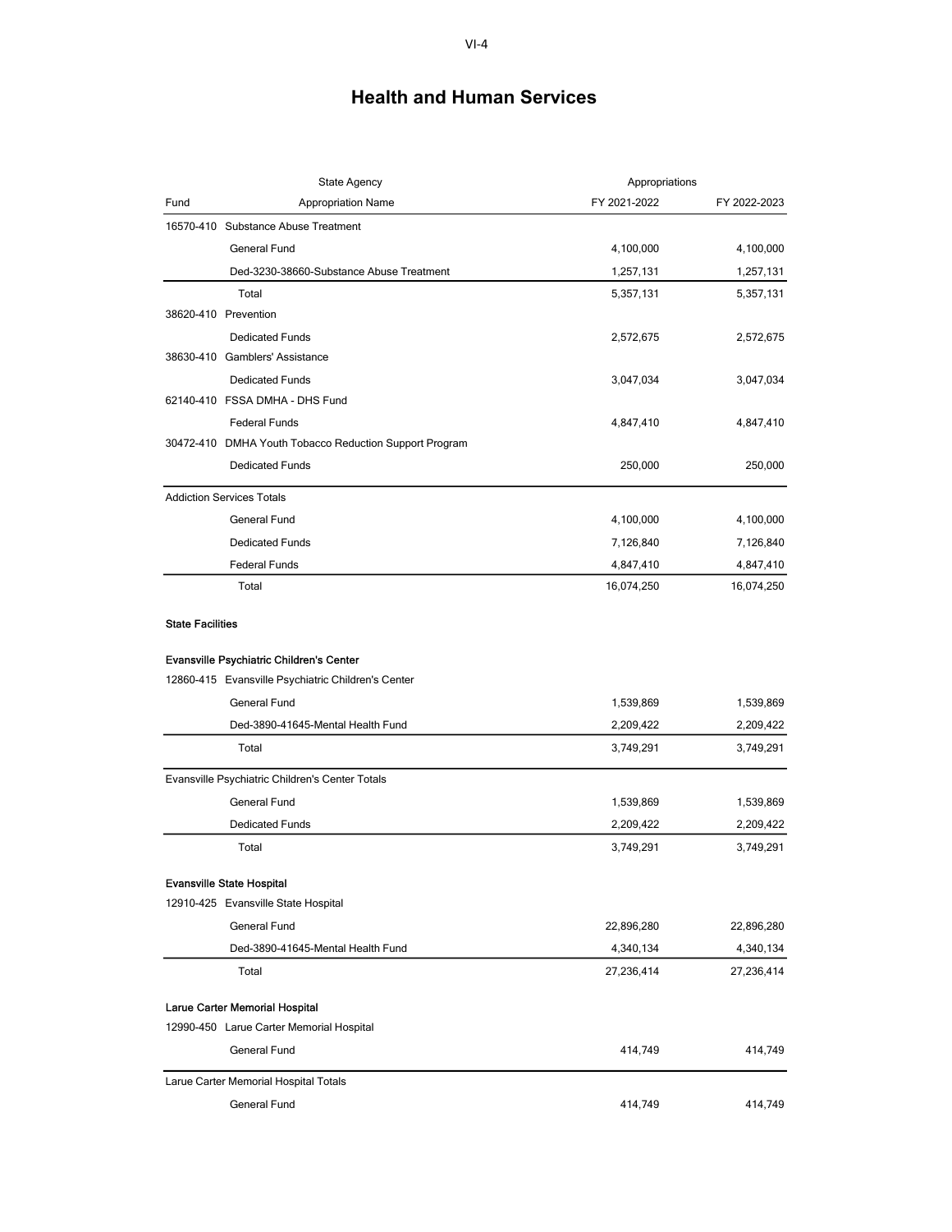|                         | <b>State Agency</b>                                    | Appropriations |              |
|-------------------------|--------------------------------------------------------|----------------|--------------|
| Fund                    | <b>Appropriation Name</b>                              | FY 2021-2022   | FY 2022-2023 |
|                         | 16570-410 Substance Abuse Treatment                    |                |              |
|                         | <b>General Fund</b>                                    | 4,100,000      | 4,100,000    |
|                         | Ded-3230-38660-Substance Abuse Treatment               | 1,257,131      | 1,257,131    |
|                         | Total                                                  | 5,357,131      | 5,357,131    |
|                         | 38620-410 Prevention                                   |                |              |
|                         | <b>Dedicated Funds</b>                                 | 2,572,675      | 2,572,675    |
|                         | 38630-410 Gamblers' Assistance                         |                |              |
|                         | <b>Dedicated Funds</b>                                 | 3,047,034      | 3,047,034    |
|                         | 62140-410 FSSA DMHA - DHS Fund                         |                |              |
|                         | <b>Federal Funds</b>                                   | 4,847,410      | 4,847,410    |
|                         | 30472-410 DMHA Youth Tobacco Reduction Support Program |                |              |
|                         | <b>Dedicated Funds</b>                                 | 250,000        | 250,000      |
|                         | <b>Addiction Services Totals</b>                       |                |              |
|                         | <b>General Fund</b>                                    | 4,100,000      | 4,100,000    |
|                         | <b>Dedicated Funds</b>                                 | 7,126,840      | 7,126,840    |
|                         | <b>Federal Funds</b>                                   | 4,847,410      | 4,847,410    |
|                         | Total                                                  | 16,074,250     | 16,074,250   |
| <b>State Facilities</b> |                                                        |                |              |
|                         | <b>Evansville Psychiatric Children's Center</b>        |                |              |
|                         | 12860-415 Evansville Psychiatric Children's Center     |                |              |
|                         | General Fund                                           | 1,539,869      | 1,539,869    |
|                         | Ded-3890-41645-Mental Health Fund                      | 2,209,422      | 2,209,422    |
|                         | Total                                                  | 3,749,291      | 3,749,291    |
|                         | Evansville Psychiatric Children's Center Totals        |                |              |
|                         | <b>General Fund</b>                                    | 1,539,869      | 1,539,869    |
|                         | <b>Dedicated Funds</b>                                 | 2,209,422      | 2,209,422    |
|                         | Total                                                  | 3,749,291      | 3,749,291    |
|                         | <b>Evansville State Hospital</b>                       |                |              |
|                         | 12910-425 Evansville State Hospital                    |                |              |
|                         | General Fund                                           | 22,896,280     | 22,896,280   |
|                         | Ded-3890-41645-Mental Health Fund                      | 4,340,134      | 4,340,134    |
|                         | Total                                                  | 27,236,414     | 27,236,414   |
|                         |                                                        |                |              |
|                         | Larue Carter Memorial Hospital                         |                |              |
|                         | 12990-450 Larue Carter Memorial Hospital               |                |              |
|                         | General Fund                                           | 414,749        | 414,749      |
|                         | Larue Carter Memorial Hospital Totals                  |                |              |
|                         | General Fund                                           | 414,749        | 414,749      |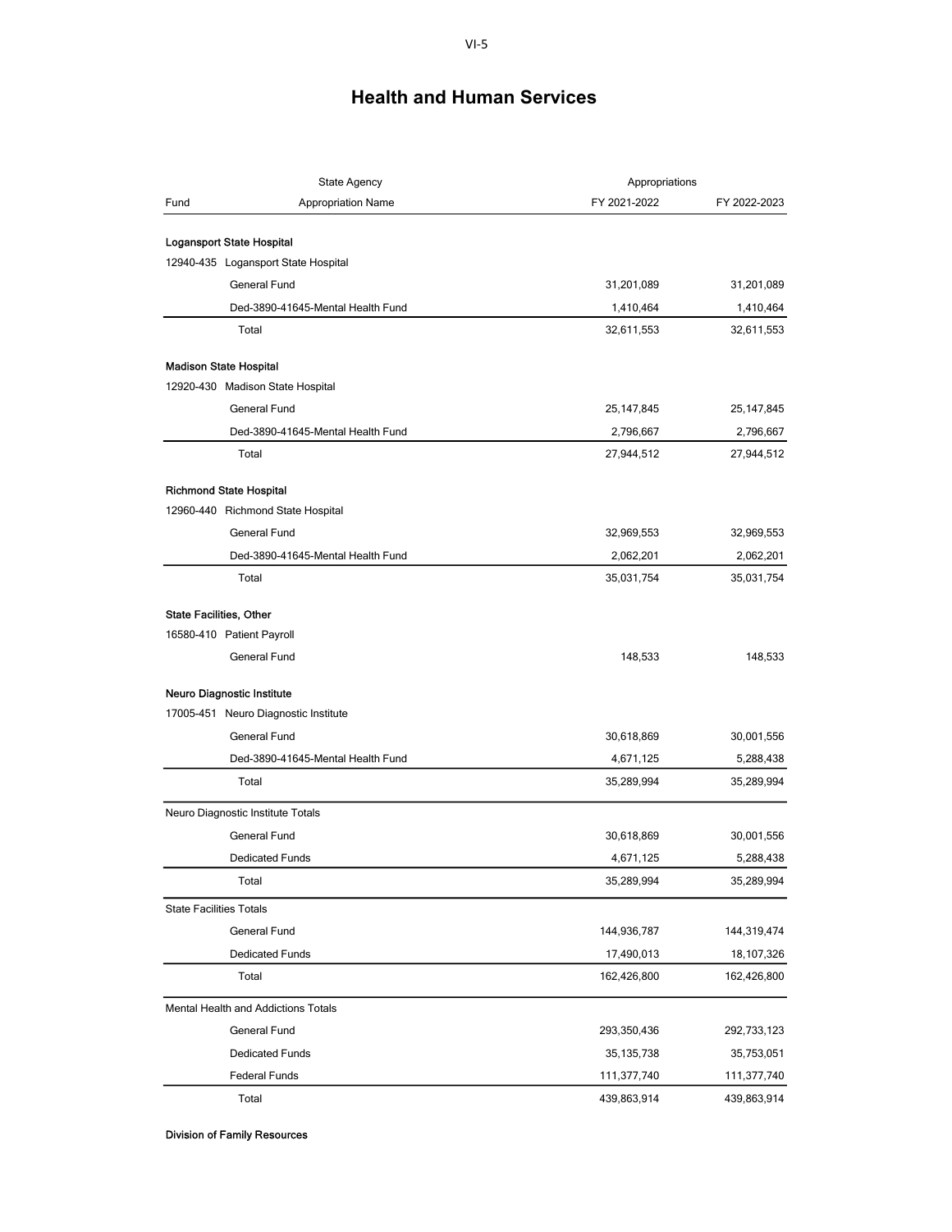| Fund<br><b>Appropriation Name</b><br>FY 2021-2022<br>FY 2022-2023<br>Logansport State Hospital<br>12940-435 Logansport State Hospital<br>General Fund<br>31,201,089<br>31,201,089<br>Ded-3890-41645-Mental Health Fund<br>1,410,464<br>1,410,464<br>Total<br>32,611,553<br>32,611,553<br><b>Madison State Hospital</b><br>12920-430 Madison State Hospital<br><b>General Fund</b><br>25, 147, 845<br>25,147,845<br>Ded-3890-41645-Mental Health Fund<br>2,796,667<br>2,796,667<br>Total<br>27,944,512<br>27,944,512<br><b>Richmond State Hospital</b><br>12960-440 Richmond State Hospital<br><b>General Fund</b><br>32,969,553<br>32,969,553<br>Ded-3890-41645-Mental Health Fund<br>2,062,201<br>2,062,201<br>Total<br>35,031,754<br>35,031,754<br><b>State Facilities, Other</b><br>16580-410 Patient Payroll<br><b>General Fund</b><br>148,533<br>148,533<br>Neuro Diagnostic Institute<br>17005-451 Neuro Diagnostic Institute<br><b>General Fund</b><br>30,618,869<br>30,001,556<br>Ded-3890-41645-Mental Health Fund<br>5,288,438<br>4,671,125<br>Total<br>35,289,994<br>35,289,994<br>Neuro Diagnostic Institute Totals<br><b>General Fund</b><br>30,618,869<br>30,001,556<br><b>Dedicated Funds</b><br>4,671,125<br>5,288,438<br>35,289,994<br>Total<br>35,289,994<br><b>State Facilities Totals</b><br>General Fund<br>144,936,787<br>144,319,474<br><b>Dedicated Funds</b><br>17,490,013<br>18,107,326<br>Total<br>162,426,800<br>162,426,800<br><b>Mental Health and Addictions Totals</b><br>General Fund<br>293,350,436<br>292,733,123<br><b>Dedicated Funds</b><br>35,753,051<br>35, 135, 738<br><b>Federal Funds</b><br>111,377,740<br>111,377,740<br>Total<br>439,863,914<br>439,863,914 | <b>State Agency</b> |  | Appropriations |  |
|-----------------------------------------------------------------------------------------------------------------------------------------------------------------------------------------------------------------------------------------------------------------------------------------------------------------------------------------------------------------------------------------------------------------------------------------------------------------------------------------------------------------------------------------------------------------------------------------------------------------------------------------------------------------------------------------------------------------------------------------------------------------------------------------------------------------------------------------------------------------------------------------------------------------------------------------------------------------------------------------------------------------------------------------------------------------------------------------------------------------------------------------------------------------------------------------------------------------------------------------------------------------------------------------------------------------------------------------------------------------------------------------------------------------------------------------------------------------------------------------------------------------------------------------------------------------------------------------------------------------------------------------------------------------------------------------------------------|---------------------|--|----------------|--|
|                                                                                                                                                                                                                                                                                                                                                                                                                                                                                                                                                                                                                                                                                                                                                                                                                                                                                                                                                                                                                                                                                                                                                                                                                                                                                                                                                                                                                                                                                                                                                                                                                                                                                                           |                     |  |                |  |
|                                                                                                                                                                                                                                                                                                                                                                                                                                                                                                                                                                                                                                                                                                                                                                                                                                                                                                                                                                                                                                                                                                                                                                                                                                                                                                                                                                                                                                                                                                                                                                                                                                                                                                           |                     |  |                |  |
|                                                                                                                                                                                                                                                                                                                                                                                                                                                                                                                                                                                                                                                                                                                                                                                                                                                                                                                                                                                                                                                                                                                                                                                                                                                                                                                                                                                                                                                                                                                                                                                                                                                                                                           |                     |  |                |  |
|                                                                                                                                                                                                                                                                                                                                                                                                                                                                                                                                                                                                                                                                                                                                                                                                                                                                                                                                                                                                                                                                                                                                                                                                                                                                                                                                                                                                                                                                                                                                                                                                                                                                                                           |                     |  |                |  |
|                                                                                                                                                                                                                                                                                                                                                                                                                                                                                                                                                                                                                                                                                                                                                                                                                                                                                                                                                                                                                                                                                                                                                                                                                                                                                                                                                                                                                                                                                                                                                                                                                                                                                                           |                     |  |                |  |
|                                                                                                                                                                                                                                                                                                                                                                                                                                                                                                                                                                                                                                                                                                                                                                                                                                                                                                                                                                                                                                                                                                                                                                                                                                                                                                                                                                                                                                                                                                                                                                                                                                                                                                           |                     |  |                |  |
|                                                                                                                                                                                                                                                                                                                                                                                                                                                                                                                                                                                                                                                                                                                                                                                                                                                                                                                                                                                                                                                                                                                                                                                                                                                                                                                                                                                                                                                                                                                                                                                                                                                                                                           |                     |  |                |  |
|                                                                                                                                                                                                                                                                                                                                                                                                                                                                                                                                                                                                                                                                                                                                                                                                                                                                                                                                                                                                                                                                                                                                                                                                                                                                                                                                                                                                                                                                                                                                                                                                                                                                                                           |                     |  |                |  |
|                                                                                                                                                                                                                                                                                                                                                                                                                                                                                                                                                                                                                                                                                                                                                                                                                                                                                                                                                                                                                                                                                                                                                                                                                                                                                                                                                                                                                                                                                                                                                                                                                                                                                                           |                     |  |                |  |
|                                                                                                                                                                                                                                                                                                                                                                                                                                                                                                                                                                                                                                                                                                                                                                                                                                                                                                                                                                                                                                                                                                                                                                                                                                                                                                                                                                                                                                                                                                                                                                                                                                                                                                           |                     |  |                |  |
|                                                                                                                                                                                                                                                                                                                                                                                                                                                                                                                                                                                                                                                                                                                                                                                                                                                                                                                                                                                                                                                                                                                                                                                                                                                                                                                                                                                                                                                                                                                                                                                                                                                                                                           |                     |  |                |  |
|                                                                                                                                                                                                                                                                                                                                                                                                                                                                                                                                                                                                                                                                                                                                                                                                                                                                                                                                                                                                                                                                                                                                                                                                                                                                                                                                                                                                                                                                                                                                                                                                                                                                                                           |                     |  |                |  |
|                                                                                                                                                                                                                                                                                                                                                                                                                                                                                                                                                                                                                                                                                                                                                                                                                                                                                                                                                                                                                                                                                                                                                                                                                                                                                                                                                                                                                                                                                                                                                                                                                                                                                                           |                     |  |                |  |
|                                                                                                                                                                                                                                                                                                                                                                                                                                                                                                                                                                                                                                                                                                                                                                                                                                                                                                                                                                                                                                                                                                                                                                                                                                                                                                                                                                                                                                                                                                                                                                                                                                                                                                           |                     |  |                |  |
|                                                                                                                                                                                                                                                                                                                                                                                                                                                                                                                                                                                                                                                                                                                                                                                                                                                                                                                                                                                                                                                                                                                                                                                                                                                                                                                                                                                                                                                                                                                                                                                                                                                                                                           |                     |  |                |  |
|                                                                                                                                                                                                                                                                                                                                                                                                                                                                                                                                                                                                                                                                                                                                                                                                                                                                                                                                                                                                                                                                                                                                                                                                                                                                                                                                                                                                                                                                                                                                                                                                                                                                                                           |                     |  |                |  |
|                                                                                                                                                                                                                                                                                                                                                                                                                                                                                                                                                                                                                                                                                                                                                                                                                                                                                                                                                                                                                                                                                                                                                                                                                                                                                                                                                                                                                                                                                                                                                                                                                                                                                                           |                     |  |                |  |
|                                                                                                                                                                                                                                                                                                                                                                                                                                                                                                                                                                                                                                                                                                                                                                                                                                                                                                                                                                                                                                                                                                                                                                                                                                                                                                                                                                                                                                                                                                                                                                                                                                                                                                           |                     |  |                |  |
|                                                                                                                                                                                                                                                                                                                                                                                                                                                                                                                                                                                                                                                                                                                                                                                                                                                                                                                                                                                                                                                                                                                                                                                                                                                                                                                                                                                                                                                                                                                                                                                                                                                                                                           |                     |  |                |  |
|                                                                                                                                                                                                                                                                                                                                                                                                                                                                                                                                                                                                                                                                                                                                                                                                                                                                                                                                                                                                                                                                                                                                                                                                                                                                                                                                                                                                                                                                                                                                                                                                                                                                                                           |                     |  |                |  |
|                                                                                                                                                                                                                                                                                                                                                                                                                                                                                                                                                                                                                                                                                                                                                                                                                                                                                                                                                                                                                                                                                                                                                                                                                                                                                                                                                                                                                                                                                                                                                                                                                                                                                                           |                     |  |                |  |
|                                                                                                                                                                                                                                                                                                                                                                                                                                                                                                                                                                                                                                                                                                                                                                                                                                                                                                                                                                                                                                                                                                                                                                                                                                                                                                                                                                                                                                                                                                                                                                                                                                                                                                           |                     |  |                |  |
|                                                                                                                                                                                                                                                                                                                                                                                                                                                                                                                                                                                                                                                                                                                                                                                                                                                                                                                                                                                                                                                                                                                                                                                                                                                                                                                                                                                                                                                                                                                                                                                                                                                                                                           |                     |  |                |  |
|                                                                                                                                                                                                                                                                                                                                                                                                                                                                                                                                                                                                                                                                                                                                                                                                                                                                                                                                                                                                                                                                                                                                                                                                                                                                                                                                                                                                                                                                                                                                                                                                                                                                                                           |                     |  |                |  |
|                                                                                                                                                                                                                                                                                                                                                                                                                                                                                                                                                                                                                                                                                                                                                                                                                                                                                                                                                                                                                                                                                                                                                                                                                                                                                                                                                                                                                                                                                                                                                                                                                                                                                                           |                     |  |                |  |
|                                                                                                                                                                                                                                                                                                                                                                                                                                                                                                                                                                                                                                                                                                                                                                                                                                                                                                                                                                                                                                                                                                                                                                                                                                                                                                                                                                                                                                                                                                                                                                                                                                                                                                           |                     |  |                |  |
|                                                                                                                                                                                                                                                                                                                                                                                                                                                                                                                                                                                                                                                                                                                                                                                                                                                                                                                                                                                                                                                                                                                                                                                                                                                                                                                                                                                                                                                                                                                                                                                                                                                                                                           |                     |  |                |  |
|                                                                                                                                                                                                                                                                                                                                                                                                                                                                                                                                                                                                                                                                                                                                                                                                                                                                                                                                                                                                                                                                                                                                                                                                                                                                                                                                                                                                                                                                                                                                                                                                                                                                                                           |                     |  |                |  |
|                                                                                                                                                                                                                                                                                                                                                                                                                                                                                                                                                                                                                                                                                                                                                                                                                                                                                                                                                                                                                                                                                                                                                                                                                                                                                                                                                                                                                                                                                                                                                                                                                                                                                                           |                     |  |                |  |
|                                                                                                                                                                                                                                                                                                                                                                                                                                                                                                                                                                                                                                                                                                                                                                                                                                                                                                                                                                                                                                                                                                                                                                                                                                                                                                                                                                                                                                                                                                                                                                                                                                                                                                           |                     |  |                |  |
|                                                                                                                                                                                                                                                                                                                                                                                                                                                                                                                                                                                                                                                                                                                                                                                                                                                                                                                                                                                                                                                                                                                                                                                                                                                                                                                                                                                                                                                                                                                                                                                                                                                                                                           |                     |  |                |  |
|                                                                                                                                                                                                                                                                                                                                                                                                                                                                                                                                                                                                                                                                                                                                                                                                                                                                                                                                                                                                                                                                                                                                                                                                                                                                                                                                                                                                                                                                                                                                                                                                                                                                                                           |                     |  |                |  |
|                                                                                                                                                                                                                                                                                                                                                                                                                                                                                                                                                                                                                                                                                                                                                                                                                                                                                                                                                                                                                                                                                                                                                                                                                                                                                                                                                                                                                                                                                                                                                                                                                                                                                                           |                     |  |                |  |
|                                                                                                                                                                                                                                                                                                                                                                                                                                                                                                                                                                                                                                                                                                                                                                                                                                                                                                                                                                                                                                                                                                                                                                                                                                                                                                                                                                                                                                                                                                                                                                                                                                                                                                           |                     |  |                |  |
|                                                                                                                                                                                                                                                                                                                                                                                                                                                                                                                                                                                                                                                                                                                                                                                                                                                                                                                                                                                                                                                                                                                                                                                                                                                                                                                                                                                                                                                                                                                                                                                                                                                                                                           |                     |  |                |  |
|                                                                                                                                                                                                                                                                                                                                                                                                                                                                                                                                                                                                                                                                                                                                                                                                                                                                                                                                                                                                                                                                                                                                                                                                                                                                                                                                                                                                                                                                                                                                                                                                                                                                                                           |                     |  |                |  |
|                                                                                                                                                                                                                                                                                                                                                                                                                                                                                                                                                                                                                                                                                                                                                                                                                                                                                                                                                                                                                                                                                                                                                                                                                                                                                                                                                                                                                                                                                                                                                                                                                                                                                                           |                     |  |                |  |
|                                                                                                                                                                                                                                                                                                                                                                                                                                                                                                                                                                                                                                                                                                                                                                                                                                                                                                                                                                                                                                                                                                                                                                                                                                                                                                                                                                                                                                                                                                                                                                                                                                                                                                           |                     |  |                |  |

Division of Family Resources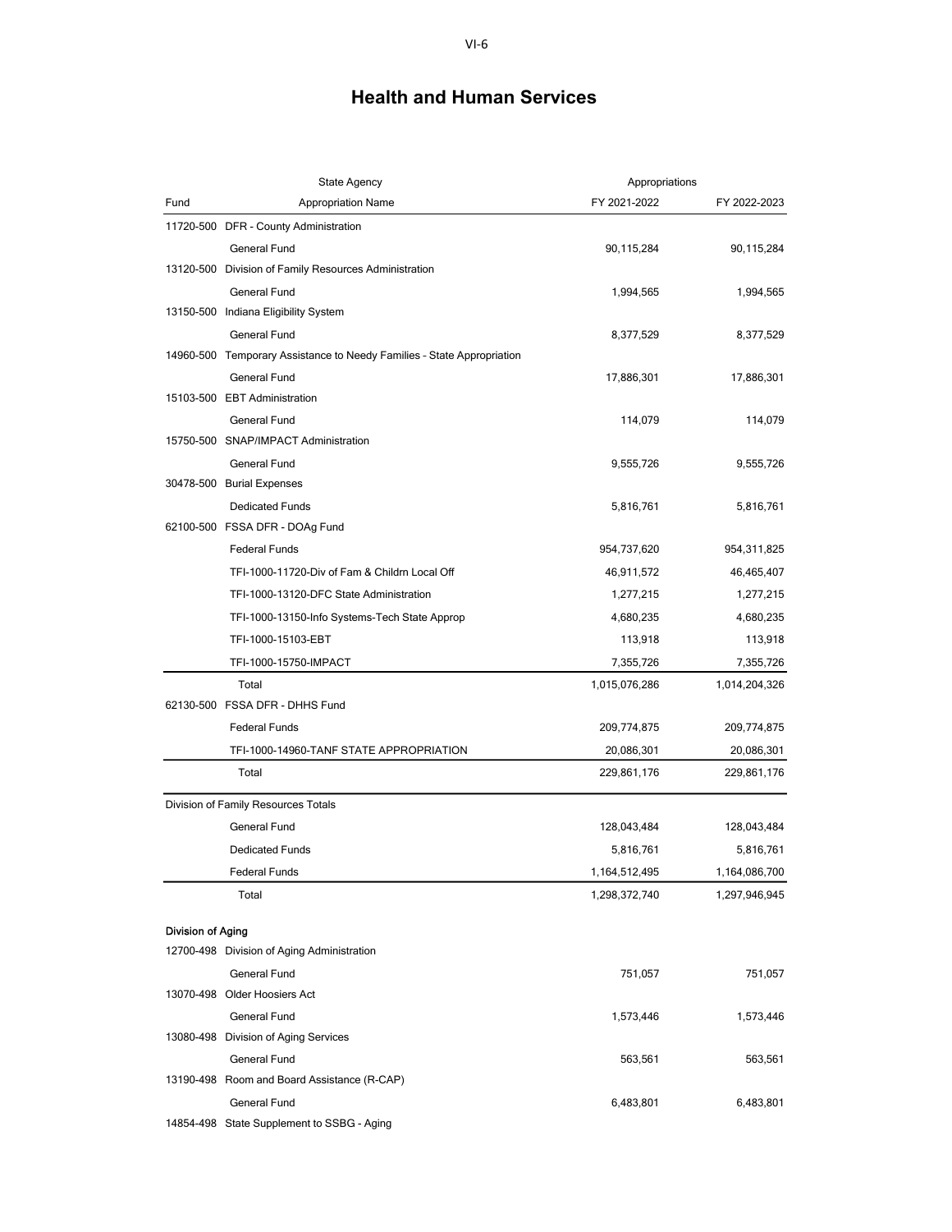| <b>State Agency</b> |                                                                        | Appropriations |               |  |
|---------------------|------------------------------------------------------------------------|----------------|---------------|--|
| Fund                | <b>Appropriation Name</b>                                              | FY 2021-2022   | FY 2022-2023  |  |
|                     | 11720-500 DFR - County Administration                                  |                |               |  |
|                     | <b>General Fund</b>                                                    | 90,115,284     | 90,115,284    |  |
|                     | 13120-500 Division of Family Resources Administration                  |                |               |  |
|                     | General Fund                                                           | 1,994,565      | 1,994,565     |  |
|                     | 13150-500 Indiana Eligibility System                                   |                |               |  |
|                     | General Fund                                                           | 8,377,529      | 8,377,529     |  |
|                     | 14960-500 Temporary Assistance to Needy Families - State Appropriation |                |               |  |
|                     | <b>General Fund</b>                                                    | 17,886,301     | 17,886,301    |  |
|                     | 15103-500 EBT Administration                                           |                |               |  |
|                     | General Fund                                                           | 114,079        | 114,079       |  |
|                     | 15750-500 SNAP/IMPACT Administration                                   |                |               |  |
|                     | General Fund                                                           | 9,555,726      | 9,555,726     |  |
|                     | 30478-500 Burial Expenses                                              |                |               |  |
|                     | <b>Dedicated Funds</b>                                                 | 5,816,761      | 5,816,761     |  |
|                     | 62100-500 FSSA DFR - DOAg Fund                                         |                |               |  |
|                     | <b>Federal Funds</b>                                                   | 954,737,620    | 954,311,825   |  |
|                     | TFI-1000-11720-Div of Fam & Childrn Local Off                          | 46,911,572     | 46,465,407    |  |
|                     | TFI-1000-13120-DFC State Administration                                | 1,277,215      | 1,277,215     |  |
|                     | TFI-1000-13150-Info Systems-Tech State Approp                          | 4,680,235      | 4,680,235     |  |
|                     | TFI-1000-15103-EBT                                                     | 113,918        | 113,918       |  |
|                     | TFI-1000-15750-IMPACT                                                  | 7,355,726      | 7,355,726     |  |
|                     | Total                                                                  | 1,015,076,286  | 1,014,204,326 |  |
|                     | 62130-500 FSSA DFR - DHHS Fund                                         |                |               |  |
|                     | <b>Federal Funds</b>                                                   | 209,774,875    | 209,774,875   |  |
|                     | TFI-1000-14960-TANF STATE APPROPRIATION                                | 20,086,301     | 20,086,301    |  |
|                     | Total                                                                  | 229,861,176    | 229,861,176   |  |
|                     | Division of Family Resources Totals                                    |                |               |  |
|                     | General Fund                                                           | 128,043,484    | 128,043,484   |  |
|                     | <b>Dedicated Funds</b>                                                 | 5,816,761      | 5,816,761     |  |
|                     | <b>Federal Funds</b>                                                   | 1,164,512,495  | 1,164,086,700 |  |
|                     | Total                                                                  | 1,298,372,740  | 1,297,946,945 |  |
|                     |                                                                        |                |               |  |
| Division of Aging   |                                                                        |                |               |  |
|                     | 12700-498 Division of Aging Administration                             |                |               |  |
|                     | <b>General Fund</b>                                                    | 751,057        | 751,057       |  |
|                     | 13070-498 Older Hoosiers Act                                           |                |               |  |
|                     | General Fund                                                           | 1,573,446      | 1,573,446     |  |
|                     | 13080-498 Division of Aging Services                                   |                |               |  |
|                     | General Fund                                                           | 563,561        | 563,561       |  |
|                     | 13190-498 Room and Board Assistance (R-CAP)                            |                |               |  |
|                     | <b>General Fund</b>                                                    | 6,483,801      | 6,483,801     |  |
|                     | 14854-498 State Supplement to SSBG - Aging                             |                |               |  |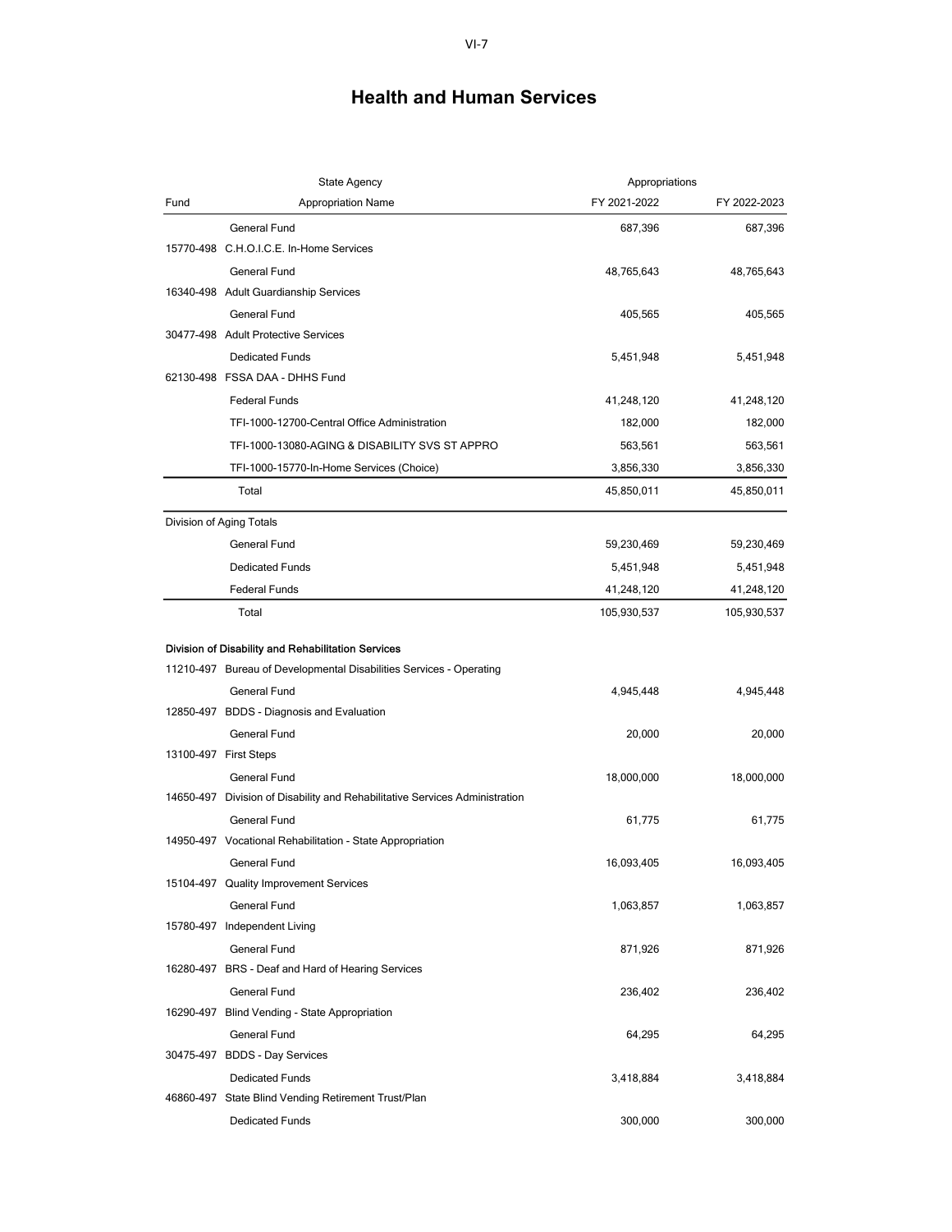|      | State Agency                                                                                                              | Appropriations |              |
|------|---------------------------------------------------------------------------------------------------------------------------|----------------|--------------|
| Fund | <b>Appropriation Name</b>                                                                                                 | FY 2021-2022   | FY 2022-2023 |
|      | General Fund                                                                                                              | 687,396        | 687,396      |
|      | 15770-498 C.H.O.I.C.E. In-Home Services                                                                                   |                |              |
|      | <b>General Fund</b>                                                                                                       | 48,765,643     | 48,765,643   |
|      | 16340-498 Adult Guardianship Services                                                                                     |                |              |
|      | General Fund                                                                                                              | 405,565        | 405,565      |
|      | 30477-498 Adult Protective Services                                                                                       |                |              |
|      | <b>Dedicated Funds</b>                                                                                                    | 5,451,948      | 5,451,948    |
|      | 62130-498 FSSA DAA - DHHS Fund                                                                                            |                |              |
|      | <b>Federal Funds</b>                                                                                                      | 41,248,120     | 41,248,120   |
|      | TFI-1000-12700-Central Office Administration                                                                              | 182,000        | 182,000      |
|      | TFI-1000-13080-AGING & DISABILITY SVS ST APPRO                                                                            | 563,561        | 563,561      |
|      | TFI-1000-15770-In-Home Services (Choice)                                                                                  | 3,856,330      | 3,856,330    |
|      | Total                                                                                                                     | 45,850,011     | 45,850,011   |
|      | Division of Aging Totals                                                                                                  |                |              |
|      | <b>General Fund</b>                                                                                                       | 59,230,469     | 59,230,469   |
|      | <b>Dedicated Funds</b>                                                                                                    | 5,451,948      | 5,451,948    |
|      | <b>Federal Funds</b>                                                                                                      | 41,248,120     | 41,248,120   |
|      | Total                                                                                                                     | 105,930,537    | 105,930,537  |
|      |                                                                                                                           |                |              |
|      | Division of Disability and Rehabilitation Services<br>11210-497 Bureau of Developmental Disabilities Services - Operating |                |              |
|      | <b>General Fund</b>                                                                                                       | 4,945,448      | 4,945,448    |
|      | 12850-497 BDDS - Diagnosis and Evaluation                                                                                 |                |              |
|      | <b>General Fund</b>                                                                                                       | 20,000         | 20,000       |
|      | 13100-497 First Steps                                                                                                     |                |              |
|      | <b>General Fund</b>                                                                                                       | 18,000,000     | 18,000,000   |
|      | 14650-497 Division of Disability and Rehabilitative Services Administration                                               |                |              |
|      | <b>General Fund</b>                                                                                                       | 61,775         | 61,775       |
|      | 14950-497 Vocational Rehabilitation - State Appropriation                                                                 |                |              |
|      | <b>General Fund</b>                                                                                                       | 16,093,405     | 16,093,405   |
|      | 15104-497 Quality Improvement Services                                                                                    |                |              |
|      | <b>General Fund</b>                                                                                                       | 1,063,857      | 1,063,857    |
|      | 15780-497 Independent Living                                                                                              |                |              |
|      | General Fund                                                                                                              | 871,926        | 871,926      |
|      | 16280-497 BRS - Deaf and Hard of Hearing Services                                                                         |                |              |
|      | General Fund                                                                                                              | 236,402        | 236,402      |
|      | 16290-497 Blind Vending - State Appropriation                                                                             |                |              |
|      | General Fund                                                                                                              | 64,295         | 64,295       |
|      | 30475-497 BDDS - Day Services                                                                                             |                |              |
|      | <b>Dedicated Funds</b>                                                                                                    | 3,418,884      | 3,418,884    |
|      | 46860-497 State Blind Vending Retirement Trust/Plan                                                                       |                |              |
|      | <b>Dedicated Funds</b>                                                                                                    | 300,000        | 300,000      |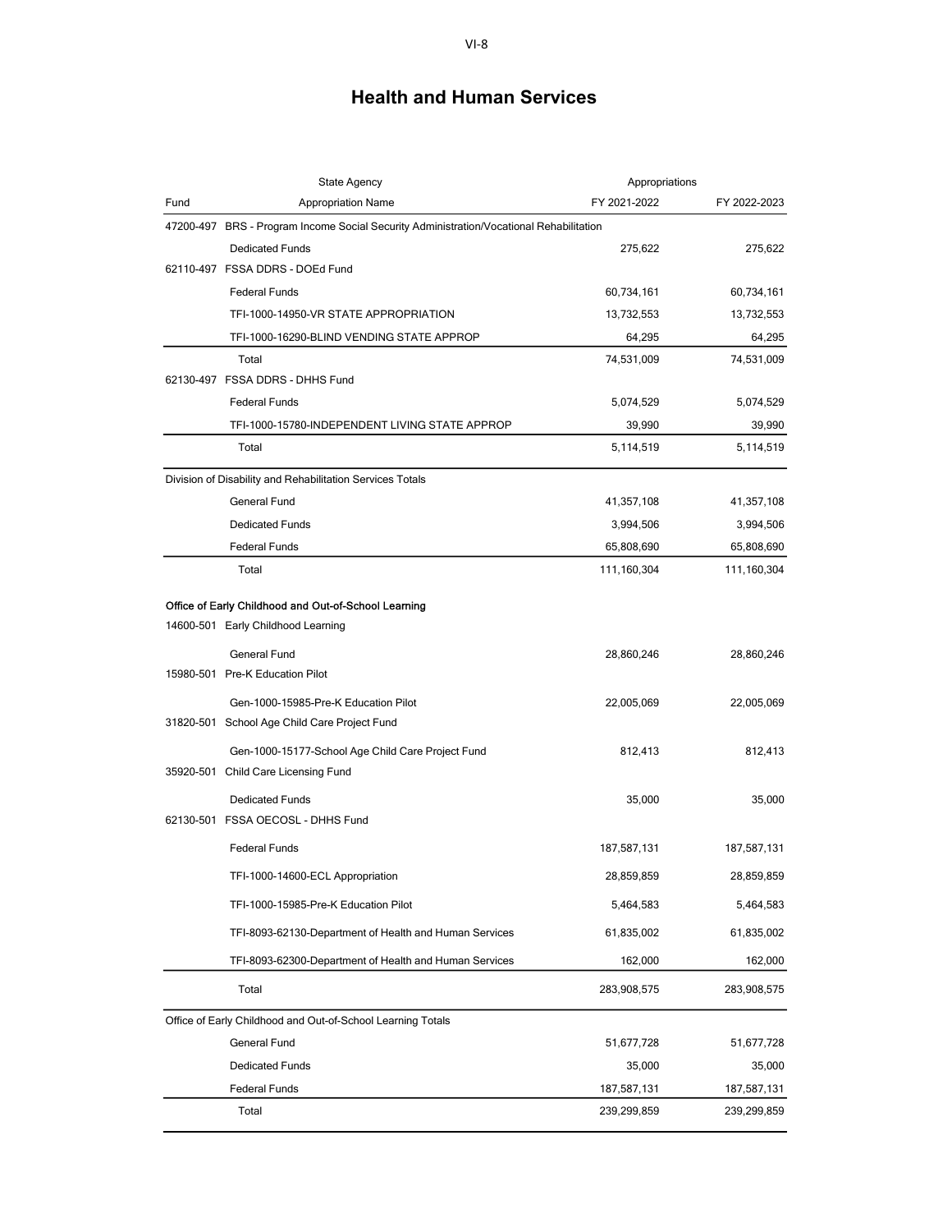|      | <b>State Agency</b>                                                                     | Appropriations |              |
|------|-----------------------------------------------------------------------------------------|----------------|--------------|
| Fund | <b>Appropriation Name</b>                                                               | FY 2021-2022   | FY 2022-2023 |
|      | 47200-497 BRS - Program Income Social Security Administration/Vocational Rehabilitation |                |              |
|      | <b>Dedicated Funds</b>                                                                  | 275,622        | 275,622      |
|      | 62110-497 FSSA DDRS - DOEd Fund                                                         |                |              |
|      | <b>Federal Funds</b>                                                                    | 60,734,161     | 60,734,161   |
|      | TFI-1000-14950-VR STATE APPROPRIATION                                                   | 13,732,553     | 13,732,553   |
|      | TFI-1000-16290-BLIND VENDING STATE APPROP                                               | 64,295         | 64,295       |
|      | Total                                                                                   | 74,531,009     | 74,531,009   |
|      | 62130-497 FSSA DDRS - DHHS Fund                                                         |                |              |
|      | <b>Federal Funds</b>                                                                    | 5,074,529      | 5,074,529    |
|      | TFI-1000-15780-INDEPENDENT LIVING STATE APPROP                                          | 39,990         | 39,990       |
|      | Total                                                                                   | 5,114,519      | 5,114,519    |
|      | Division of Disability and Rehabilitation Services Totals                               |                |              |
|      | General Fund                                                                            | 41,357,108     | 41,357,108   |
|      | <b>Dedicated Funds</b>                                                                  | 3,994,506      | 3,994,506    |
|      | <b>Federal Funds</b>                                                                    | 65,808,690     | 65,808,690   |
|      | Total                                                                                   | 111,160,304    | 111,160,304  |
|      | Office of Early Childhood and Out-of-School Learning                                    |                |              |
|      | 14600-501 Early Childhood Learning                                                      |                |              |
|      | General Fund                                                                            | 28,860,246     | 28,860,246   |
|      | 15980-501 Pre-K Education Pilot                                                         |                |              |
|      | Gen-1000-15985-Pre-K Education Pilot                                                    | 22,005,069     | 22,005,069   |
|      | 31820-501 School Age Child Care Project Fund                                            |                |              |
|      | Gen-1000-15177-School Age Child Care Project Fund                                       | 812,413        | 812,413      |
|      | 35920-501 Child Care Licensing Fund                                                     |                |              |
|      | <b>Dedicated Funds</b>                                                                  | 35,000         | 35,000       |
|      | 62130-501 FSSA OECOSL - DHHS Fund                                                       |                |              |
|      | <b>Federal Funds</b>                                                                    | 187,587,131    | 187,587,131  |
|      | TFI-1000-14600-ECL Appropriation                                                        | 28,859,859     | 28,859,859   |
|      | TFI-1000-15985-Pre-K Education Pilot                                                    | 5,464,583      | 5,464,583    |
|      | TFI-8093-62130-Department of Health and Human Services                                  | 61,835,002     | 61,835,002   |
|      | TFI-8093-62300-Department of Health and Human Services                                  | 162,000        | 162,000      |
|      | Total                                                                                   | 283,908,575    | 283,908,575  |
|      | Office of Early Childhood and Out-of-School Learning Totals                             |                |              |
|      | General Fund                                                                            | 51,677,728     | 51,677,728   |
|      | <b>Dedicated Funds</b>                                                                  | 35,000         | 35,000       |
|      | <b>Federal Funds</b>                                                                    | 187,587,131    | 187,587,131  |
|      | Total                                                                                   | 239,299,859    | 239,299,859  |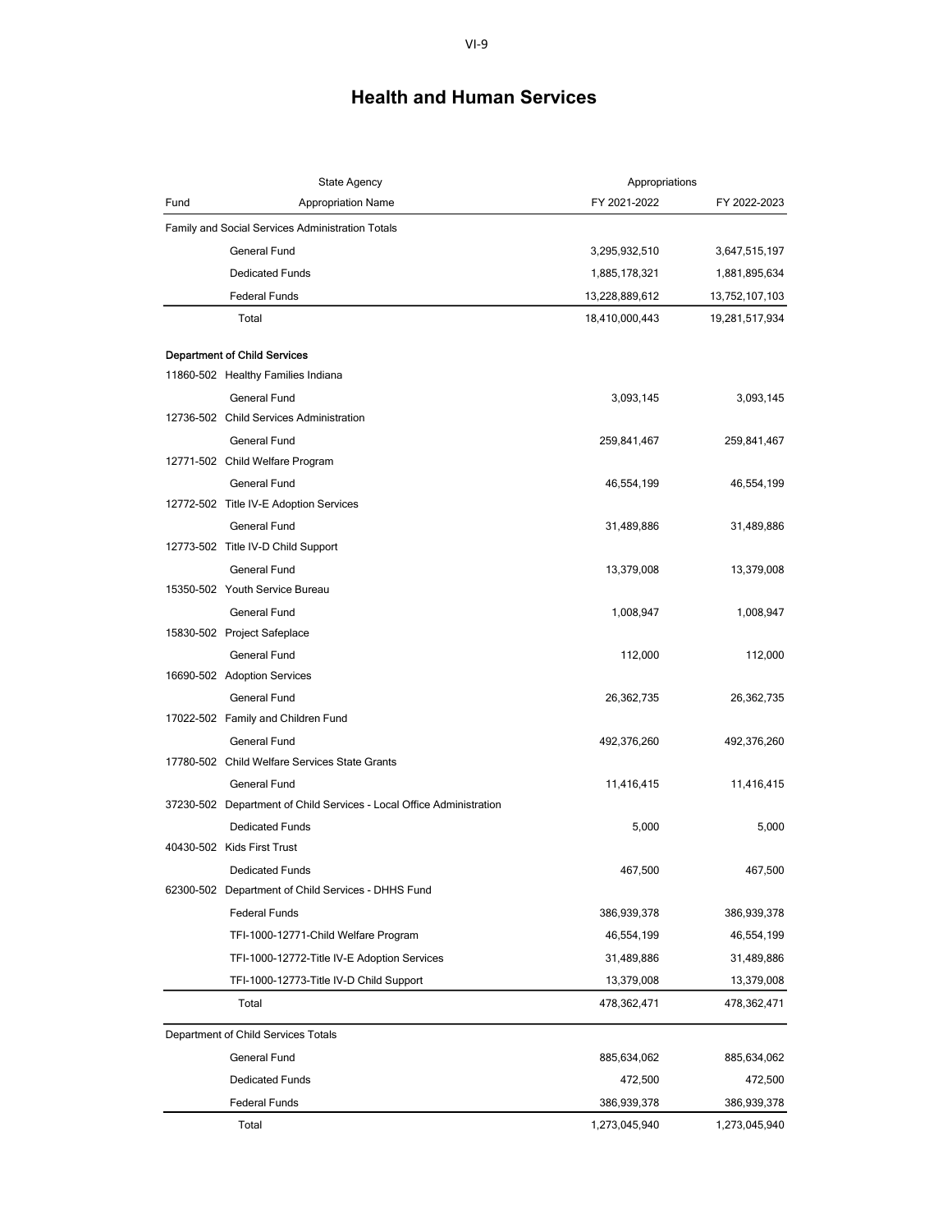| <b>State Agency</b> |                                                                           | Appropriations |                |
|---------------------|---------------------------------------------------------------------------|----------------|----------------|
| Fund                | <b>Appropriation Name</b>                                                 | FY 2021-2022   | FY 2022-2023   |
|                     | Family and Social Services Administration Totals                          |                |                |
|                     | General Fund                                                              | 3,295,932,510  | 3,647,515,197  |
|                     | <b>Dedicated Funds</b>                                                    | 1,885,178,321  | 1,881,895,634  |
|                     | <b>Federal Funds</b>                                                      | 13,228,889,612 | 13,752,107,103 |
|                     | Total                                                                     | 18,410,000,443 | 19,281,517,934 |
|                     |                                                                           |                |                |
|                     | <b>Department of Child Services</b><br>11860-502 Healthy Families Indiana |                |                |
|                     | General Fund                                                              | 3,093,145      | 3,093,145      |
|                     | 12736-502 Child Services Administration                                   |                |                |
|                     | General Fund                                                              | 259,841,467    | 259,841,467    |
|                     | 12771-502 Child Welfare Program                                           |                |                |
|                     | <b>General Fund</b>                                                       | 46,554,199     | 46,554,199     |
|                     | 12772-502 Title IV-E Adoption Services                                    |                |                |
|                     | General Fund                                                              | 31,489,886     | 31,489,886     |
|                     | 12773-502 Title IV-D Child Support                                        |                |                |
|                     | General Fund                                                              | 13,379,008     | 13,379,008     |
|                     | 15350-502 Youth Service Bureau                                            |                |                |
|                     | General Fund                                                              | 1,008,947      | 1,008,947      |
|                     | 15830-502 Project Safeplace                                               |                |                |
|                     | <b>General Fund</b>                                                       | 112,000        | 112,000        |
|                     | 16690-502 Adoption Services                                               |                |                |
|                     | General Fund                                                              | 26,362,735     | 26,362,735     |
|                     | 17022-502 Family and Children Fund                                        |                |                |
|                     | General Fund                                                              | 492,376,260    | 492,376,260    |
|                     | 17780-502 Child Welfare Services State Grants                             |                |                |
|                     | General Fund                                                              | 11,416,415     | 11,416,415     |
|                     | 37230-502 Department of Child Services - Local Office Administration      |                |                |
|                     | <b>Dedicated Funds</b>                                                    | 5,000          | 5,000          |
|                     | 40430-502 Kids First Trust                                                |                |                |
|                     | <b>Dedicated Funds</b>                                                    | 467,500        | 467,500        |
|                     | 62300-502 Department of Child Services - DHHS Fund                        |                |                |
|                     | <b>Federal Funds</b>                                                      | 386,939,378    | 386,939,378    |
|                     | TFI-1000-12771-Child Welfare Program                                      | 46,554,199     | 46,554,199     |
|                     | TFI-1000-12772-Title IV-E Adoption Services                               | 31,489,886     | 31,489,886     |
|                     | TFI-1000-12773-Title IV-D Child Support                                   | 13,379,008     | 13,379,008     |
|                     | Total                                                                     | 478,362,471    | 478,362,471    |
|                     | Department of Child Services Totals                                       |                |                |
|                     | General Fund                                                              | 885,634,062    | 885,634,062    |
|                     | <b>Dedicated Funds</b>                                                    | 472,500        | 472,500        |
|                     | <b>Federal Funds</b>                                                      | 386,939,378    | 386,939,378    |
|                     | Total                                                                     | 1,273,045,940  | 1,273,045,940  |
|                     |                                                                           |                |                |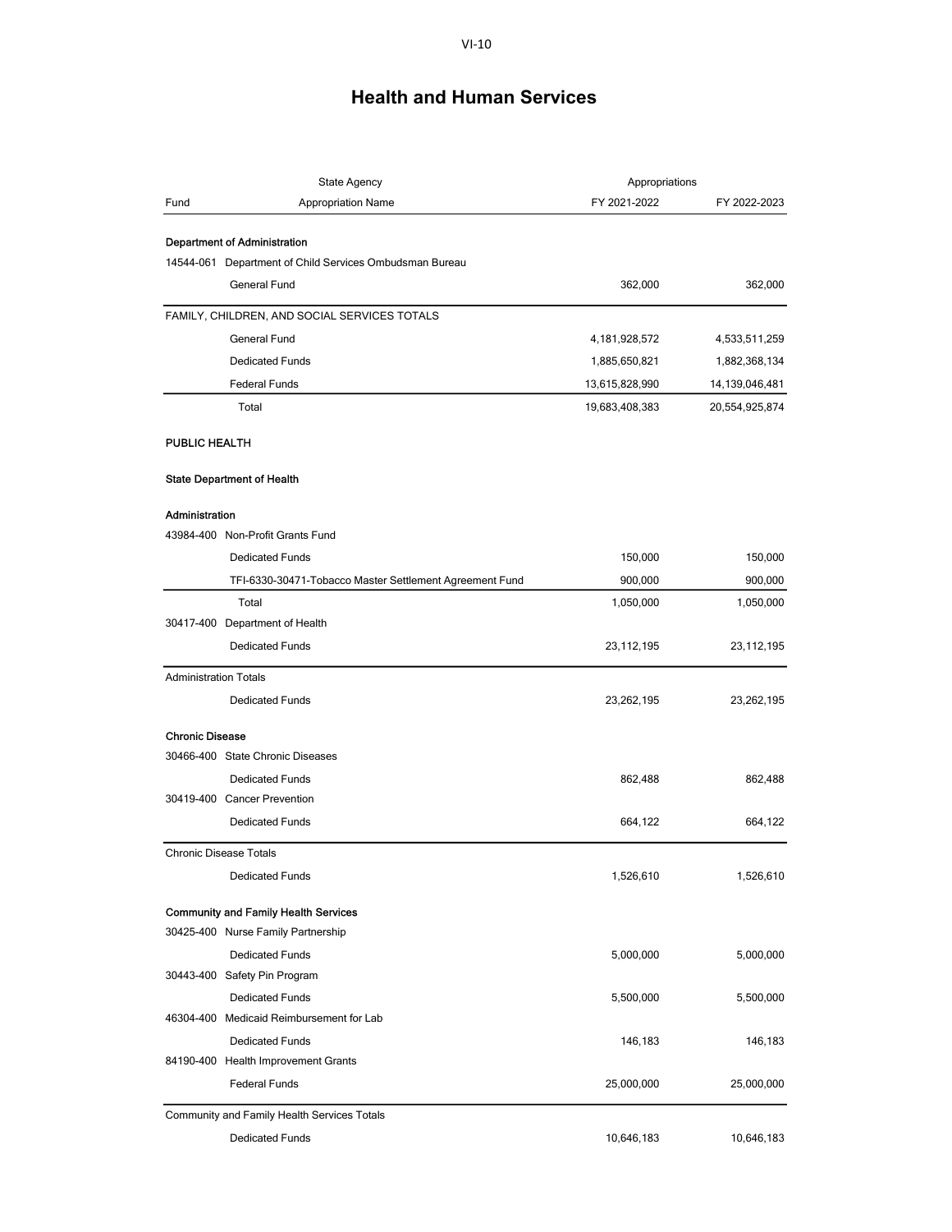|                              | <b>State Agency</b>                                      | Appropriations   |                |
|------------------------------|----------------------------------------------------------|------------------|----------------|
| Fund                         | <b>Appropriation Name</b>                                | FY 2021-2022     | FY 2022-2023   |
|                              |                                                          |                  |                |
|                              | <b>Department of Administration</b>                      |                  |                |
|                              | 14544-061 Department of Child Services Ombudsman Bureau  |                  |                |
|                              | General Fund                                             | 362,000          | 362,000        |
|                              | FAMILY, CHILDREN, AND SOCIAL SERVICES TOTALS             |                  |                |
|                              | General Fund                                             | 4, 181, 928, 572 | 4,533,511,259  |
|                              | <b>Dedicated Funds</b>                                   | 1,885,650,821    | 1,882,368,134  |
|                              | <b>Federal Funds</b>                                     | 13,615,828,990   | 14,139,046,481 |
|                              | Total                                                    | 19,683,408,383   | 20,554,925,874 |
| PUBLIC HEALTH                |                                                          |                  |                |
|                              | <b>State Department of Health</b>                        |                  |                |
|                              |                                                          |                  |                |
| Administration               | 43984-400 Non-Profit Grants Fund                         |                  |                |
|                              |                                                          |                  |                |
|                              | <b>Dedicated Funds</b>                                   | 150,000          | 150,000        |
|                              | TFI-6330-30471-Tobacco Master Settlement Agreement Fund  | 900,000          | 900,000        |
|                              | Total                                                    | 1,050,000        | 1,050,000      |
|                              | 30417-400 Department of Health<br><b>Dedicated Funds</b> |                  |                |
|                              |                                                          | 23, 112, 195     | 23,112,195     |
| <b>Administration Totals</b> |                                                          |                  |                |
|                              | <b>Dedicated Funds</b>                                   | 23,262,195       | 23,262,195     |
| <b>Chronic Disease</b>       |                                                          |                  |                |
|                              | 30466-400 State Chronic Diseases                         |                  |                |
|                              | <b>Dedicated Funds</b>                                   | 862,488          | 862,488        |
|                              | 30419-400 Cancer Prevention                              |                  |                |
|                              | <b>Dedicated Funds</b>                                   | 664,122          | 664,122        |
|                              | <b>Chronic Disease Totals</b>                            |                  |                |
|                              | <b>Dedicated Funds</b>                                   | 1,526,610        | 1,526,610      |
|                              | <b>Community and Family Health Services</b>              |                  |                |
|                              | 30425-400 Nurse Family Partnership                       |                  |                |
|                              | <b>Dedicated Funds</b>                                   | 5,000,000        | 5,000,000      |
|                              | 30443-400 Safety Pin Program                             |                  |                |
|                              | <b>Dedicated Funds</b>                                   | 5,500,000        | 5,500,000      |
|                              | 46304-400 Medicaid Reimbursement for Lab                 |                  |                |
|                              | <b>Dedicated Funds</b>                                   | 146,183          | 146,183        |
|                              | 84190-400 Health Improvement Grants                      |                  |                |
|                              | <b>Federal Funds</b>                                     | 25,000,000       | 25,000,000     |
|                              | Community and Family Health Services Totals              |                  |                |
|                              | <b>Dedicated Funds</b>                                   | 10,646,183       | 10,646,183     |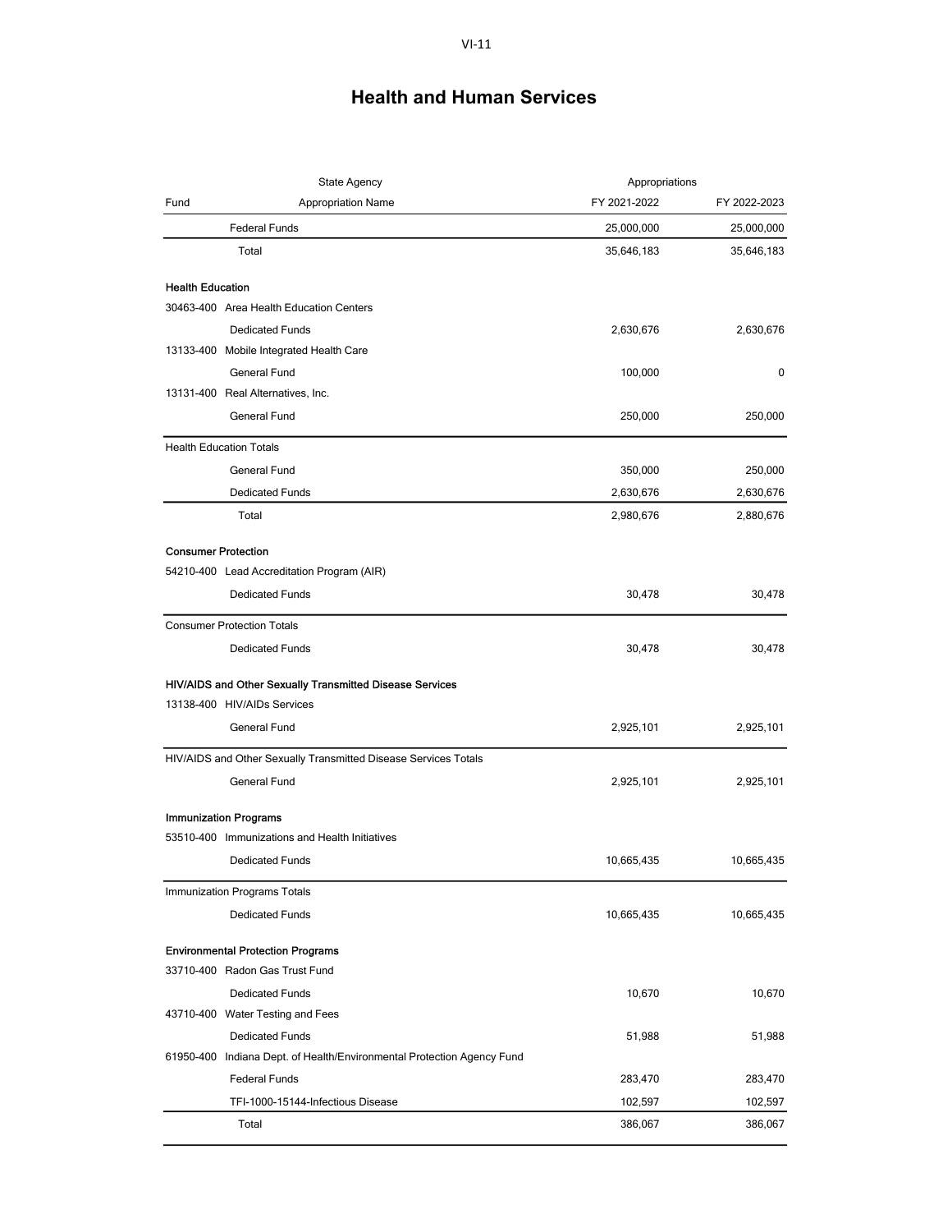| State Agency               |                                                                        | Appropriations |              |
|----------------------------|------------------------------------------------------------------------|----------------|--------------|
| Fund                       | <b>Appropriation Name</b>                                              | FY 2021-2022   | FY 2022-2023 |
|                            | <b>Federal Funds</b>                                                   | 25,000,000     | 25,000,000   |
|                            | Total                                                                  | 35,646,183     | 35,646,183   |
| <b>Health Education</b>    |                                                                        |                |              |
|                            | 30463-400 Area Health Education Centers                                |                |              |
|                            | <b>Dedicated Funds</b>                                                 | 2,630,676      | 2,630,676    |
|                            | 13133-400 Mobile Integrated Health Care                                |                |              |
|                            | General Fund                                                           | 100,000        | 0            |
|                            | 13131-400 Real Alternatives, Inc.                                      |                |              |
|                            | General Fund                                                           | 250,000        | 250,000      |
|                            | <b>Health Education Totals</b>                                         |                |              |
|                            | General Fund                                                           | 350,000        | 250,000      |
|                            | <b>Dedicated Funds</b>                                                 | 2,630,676      | 2,630,676    |
|                            | Total                                                                  | 2,980,676      | 2,880,676    |
| <b>Consumer Protection</b> |                                                                        |                |              |
|                            | 54210-400 Lead Accreditation Program (AIR)                             |                |              |
|                            | <b>Dedicated Funds</b>                                                 | 30,478         | 30,478       |
|                            | <b>Consumer Protection Totals</b>                                      |                |              |
|                            | <b>Dedicated Funds</b>                                                 | 30,478         | 30,478       |
|                            | HIV/AIDS and Other Sexually Transmitted Disease Services               |                |              |
|                            | 13138-400 HIV/AIDs Services                                            |                |              |
|                            | General Fund                                                           | 2,925,101      | 2,925,101    |
|                            | HIV/AIDS and Other Sexually Transmitted Disease Services Totals        |                |              |
|                            | General Fund                                                           | 2,925,101      | 2,925,101    |
|                            | <b>Immunization Programs</b>                                           |                |              |
|                            | 53510-400 Immunizations and Health Initiatives                         |                |              |
|                            | <b>Dedicated Funds</b>                                                 | 10,665,435     | 10,665,435   |
|                            | Immunization Programs Totals                                           |                |              |
|                            | <b>Dedicated Funds</b>                                                 | 10,665,435     | 10,665,435   |
|                            | <b>Environmental Protection Programs</b>                               |                |              |
|                            | 33710-400 Radon Gas Trust Fund                                         |                |              |
|                            | <b>Dedicated Funds</b>                                                 | 10,670         | 10,670       |
|                            | 43710-400 Water Testing and Fees                                       |                |              |
|                            | <b>Dedicated Funds</b>                                                 | 51,988         | 51,988       |
|                            | 61950-400 Indiana Dept. of Health/Environmental Protection Agency Fund |                |              |
|                            | <b>Federal Funds</b>                                                   | 283,470        | 283,470      |
|                            | TFI-1000-15144-Infectious Disease                                      | 102,597        | 102,597      |
|                            | Total                                                                  | 386,067        | 386,067      |
|                            |                                                                        |                |              |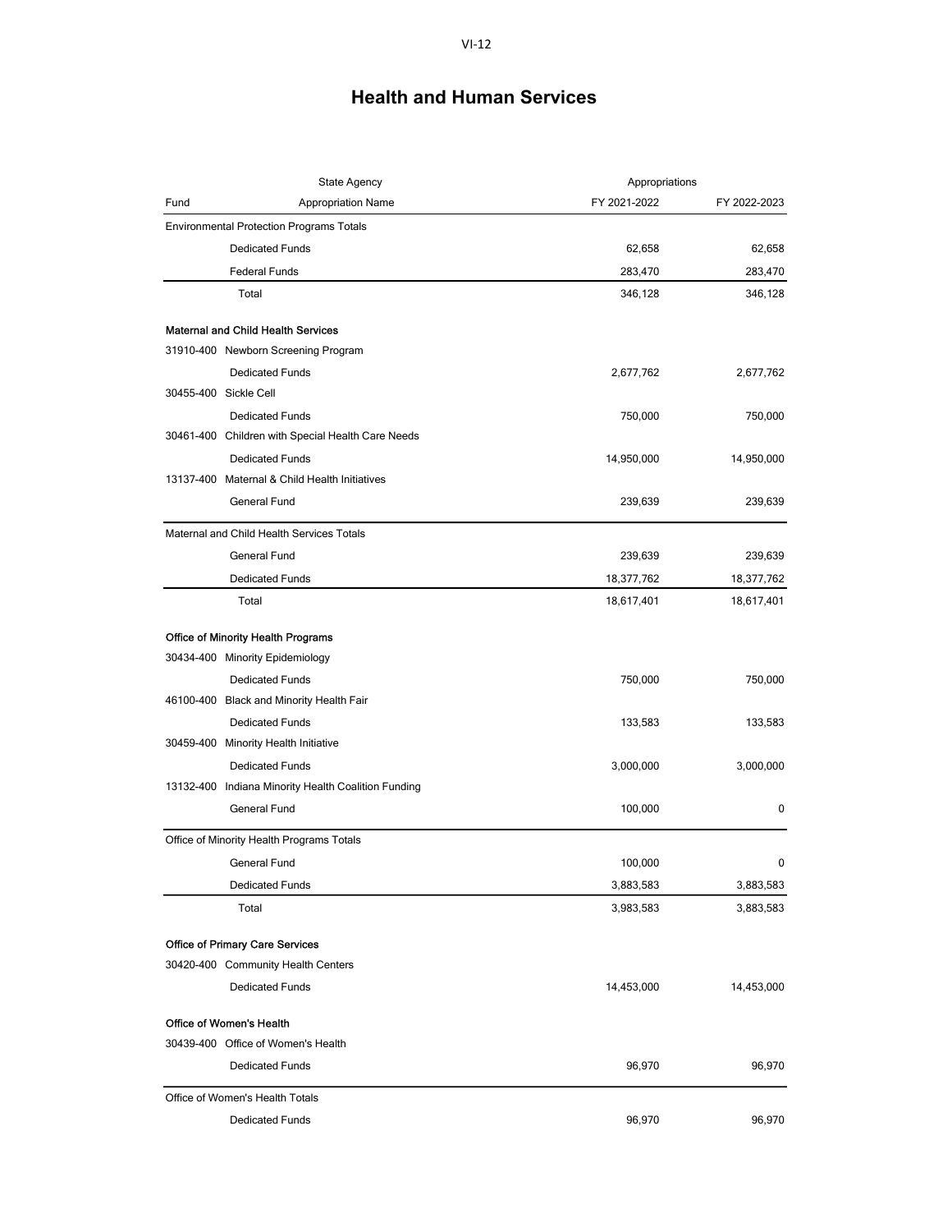|      | <b>State Agency</b>                                 | Appropriations |              |
|------|-----------------------------------------------------|----------------|--------------|
| Fund | <b>Appropriation Name</b>                           | FY 2021-2022   | FY 2022-2023 |
|      | <b>Environmental Protection Programs Totals</b>     |                |              |
|      | <b>Dedicated Funds</b>                              | 62,658         | 62,658       |
|      | <b>Federal Funds</b>                                | 283,470        | 283,470      |
|      | Total                                               | 346,128        | 346,128      |
|      | <b>Maternal and Child Health Services</b>           |                |              |
|      | 31910-400 Newborn Screening Program                 |                |              |
|      | <b>Dedicated Funds</b>                              | 2,677,762      | 2,677,762    |
|      | 30455-400 Sickle Cell                               |                |              |
|      | <b>Dedicated Funds</b>                              | 750,000        | 750,000      |
|      | 30461-400 Children with Special Health Care Needs   |                |              |
|      | <b>Dedicated Funds</b>                              | 14,950,000     | 14,950,000   |
|      | 13137-400 Maternal & Child Health Initiatives       |                |              |
|      | <b>General Fund</b>                                 | 239,639        | 239,639      |
|      | Maternal and Child Health Services Totals           |                |              |
|      | General Fund                                        | 239,639        | 239,639      |
|      | <b>Dedicated Funds</b>                              | 18,377,762     | 18,377,762   |
|      | Total                                               | 18,617,401     | 18,617,401   |
|      | Office of Minority Health Programs                  |                |              |
|      | 30434-400 Minority Epidemiology                     |                |              |
|      | <b>Dedicated Funds</b>                              | 750,000        | 750,000      |
|      | 46100-400 Black and Minority Health Fair            |                |              |
|      | <b>Dedicated Funds</b>                              | 133,583        | 133,583      |
|      | 30459-400 Minority Health Initiative                |                |              |
|      | <b>Dedicated Funds</b>                              | 3,000,000      | 3,000,000    |
|      | 13132-400 Indiana Minority Health Coalition Funding |                |              |
|      | <b>General Fund</b>                                 | 100,000        | 0            |
|      | Office of Minority Health Programs Totals           |                |              |
|      | <b>General Fund</b>                                 | 100,000        | 0            |
|      | <b>Dedicated Funds</b>                              | 3,883,583      | 3,883,583    |
|      | Total                                               | 3,983,583      | 3,883,583    |
|      | <b>Office of Primary Care Services</b>              |                |              |
|      | 30420-400 Community Health Centers                  |                |              |
|      | <b>Dedicated Funds</b>                              | 14,453,000     | 14,453,000   |
|      | <b>Office of Women's Health</b>                     |                |              |
|      | 30439-400 Office of Women's Health                  |                |              |
|      | <b>Dedicated Funds</b>                              | 96,970         | 96,970       |
|      | Office of Women's Health Totals                     |                |              |
|      | <b>Dedicated Funds</b>                              | 96,970         | 96,970       |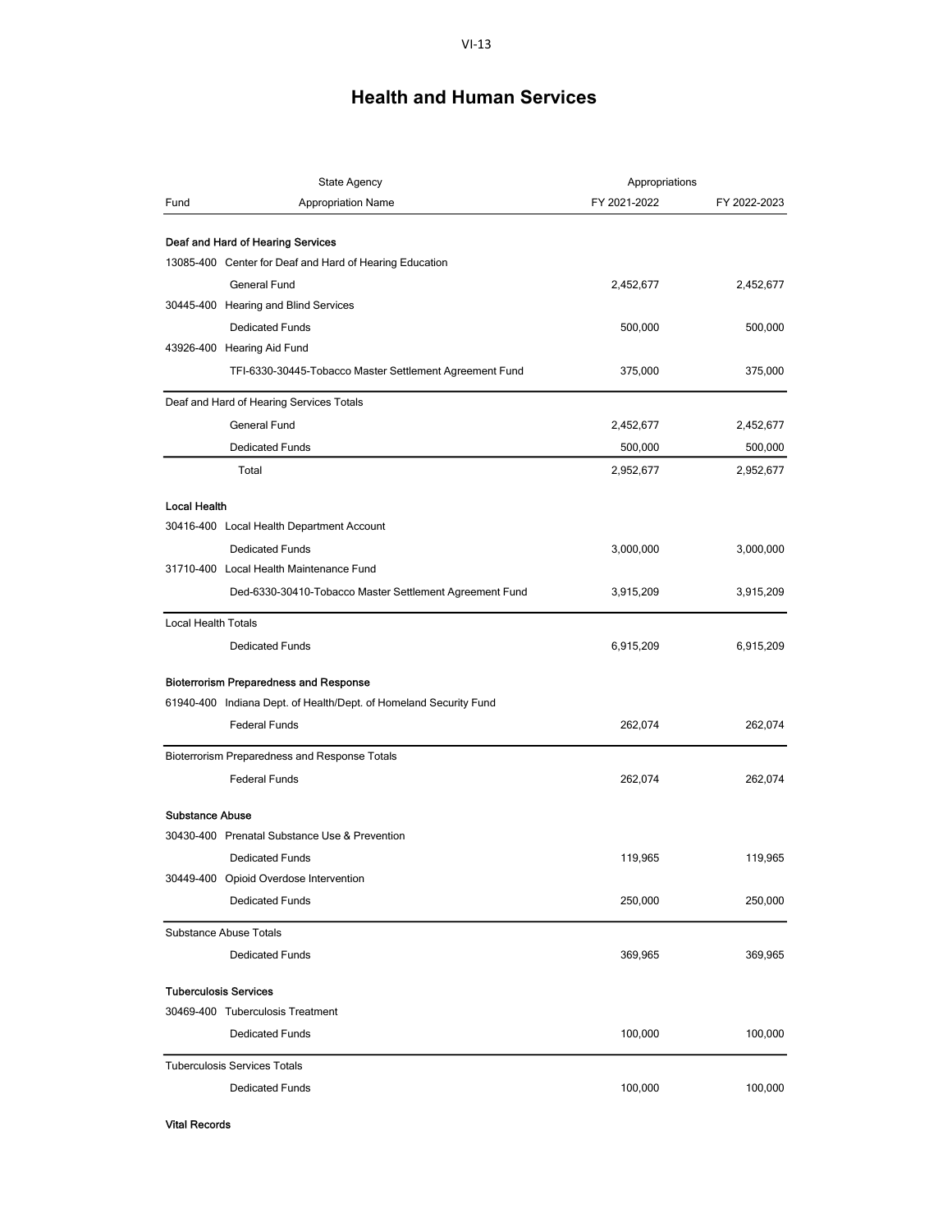|                            | <b>State Agency</b>                                               | Appropriations |              |
|----------------------------|-------------------------------------------------------------------|----------------|--------------|
| Fund                       | <b>Appropriation Name</b>                                         | FY 2021-2022   | FY 2022-2023 |
|                            | Deaf and Hard of Hearing Services                                 |                |              |
|                            | 13085-400 Center for Deaf and Hard of Hearing Education           |                |              |
|                            | <b>General Fund</b>                                               | 2,452,677      | 2,452,677    |
|                            | 30445-400 Hearing and Blind Services                              |                |              |
|                            | <b>Dedicated Funds</b>                                            | 500,000        | 500,000      |
|                            | 43926-400 Hearing Aid Fund                                        |                |              |
|                            | TFI-6330-30445-Tobacco Master Settlement Agreement Fund           | 375,000        | 375,000      |
|                            | Deaf and Hard of Hearing Services Totals                          |                |              |
|                            | <b>General Fund</b>                                               | 2,452,677      | 2,452,677    |
|                            | <b>Dedicated Funds</b>                                            | 500,000        | 500,000      |
|                            | Total                                                             | 2,952,677      | 2,952,677    |
| <b>Local Health</b>        |                                                                   |                |              |
|                            | 30416-400 Local Health Department Account                         |                |              |
|                            | <b>Dedicated Funds</b>                                            | 3,000,000      | 3,000,000    |
|                            | 31710-400 Local Health Maintenance Fund                           |                |              |
|                            | Ded-6330-30410-Tobacco Master Settlement Agreement Fund           | 3,915,209      | 3,915,209    |
| <b>Local Health Totals</b> |                                                                   |                |              |
|                            | <b>Dedicated Funds</b>                                            | 6,915,209      | 6,915,209    |
|                            | <b>Bioterrorism Preparedness and Response</b>                     |                |              |
|                            | 61940-400 Indiana Dept. of Health/Dept. of Homeland Security Fund |                |              |
|                            | <b>Federal Funds</b>                                              | 262,074        | 262,074      |
|                            | Bioterrorism Preparedness and Response Totals                     |                |              |
|                            | <b>Federal Funds</b>                                              | 262,074        | 262,074      |
| <b>Substance Abuse</b>     |                                                                   |                |              |
|                            | 30430-400 Prenatal Substance Use & Prevention                     |                |              |
|                            | <b>Dedicated Funds</b>                                            | 119,965        | 119,965      |
|                            | 30449-400 Opioid Overdose Intervention                            |                |              |
|                            | <b>Dedicated Funds</b>                                            | 250,000        | 250,000      |
|                            | <b>Substance Abuse Totals</b>                                     |                |              |
|                            | <b>Dedicated Funds</b>                                            | 369,965        | 369,965      |
|                            | <b>Tuberculosis Services</b>                                      |                |              |
|                            | 30469-400 Tuberculosis Treatment                                  |                |              |
|                            | <b>Dedicated Funds</b>                                            | 100,000        | 100,000      |
|                            | <b>Tuberculosis Services Totals</b>                               |                |              |
|                            | <b>Dedicated Funds</b>                                            | 100,000        | 100,000      |

Vital Records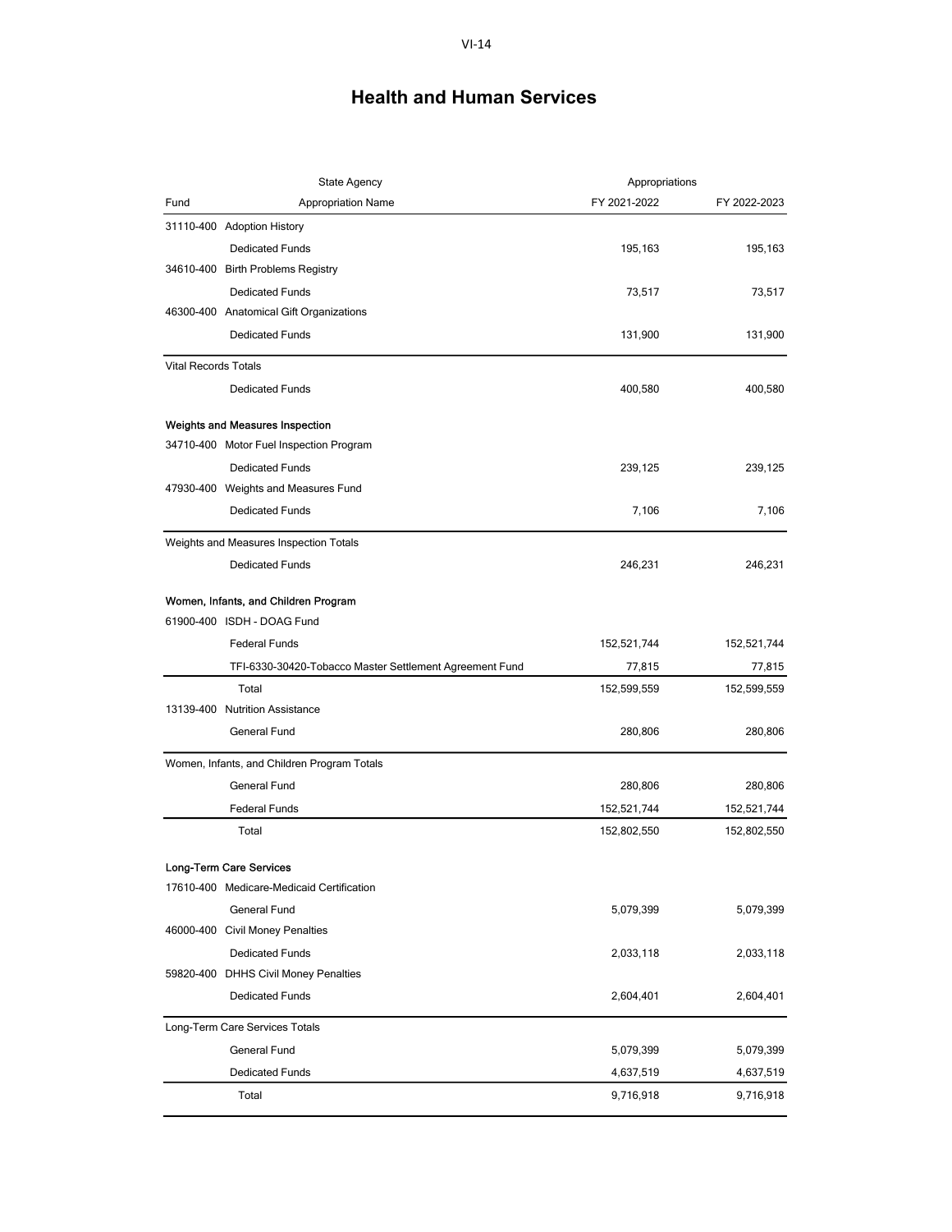|                             | <b>State Agency</b>                                     | Appropriations |              |
|-----------------------------|---------------------------------------------------------|----------------|--------------|
| Fund                        | <b>Appropriation Name</b>                               | FY 2021-2022   | FY 2022-2023 |
|                             | 31110-400 Adoption History                              |                |              |
|                             | <b>Dedicated Funds</b>                                  | 195,163        | 195,163      |
|                             | 34610-400 Birth Problems Registry                       |                |              |
|                             | <b>Dedicated Funds</b>                                  | 73,517         | 73,517       |
|                             | 46300-400 Anatomical Gift Organizations                 |                |              |
|                             | <b>Dedicated Funds</b>                                  | 131,900        | 131,900      |
| <b>Vital Records Totals</b> |                                                         |                |              |
|                             | <b>Dedicated Funds</b>                                  | 400,580        | 400,580      |
|                             | Weights and Measures Inspection                         |                |              |
|                             | 34710-400 Motor Fuel Inspection Program                 |                |              |
|                             | <b>Dedicated Funds</b>                                  | 239,125        | 239,125      |
|                             | 47930-400 Weights and Measures Fund                     |                |              |
|                             | <b>Dedicated Funds</b>                                  | 7,106          | 7,106        |
|                             | Weights and Measures Inspection Totals                  |                |              |
|                             | <b>Dedicated Funds</b>                                  | 246,231        | 246,231      |
|                             |                                                         |                |              |
|                             | Women, Infants, and Children Program                    |                |              |
|                             | 61900-400 ISDH - DOAG Fund                              |                |              |
|                             | <b>Federal Funds</b>                                    | 152,521,744    | 152,521,744  |
|                             | TFI-6330-30420-Tobacco Master Settlement Agreement Fund | 77,815         | 77,815       |
|                             | Total                                                   | 152,599,559    | 152,599,559  |
|                             | 13139-400 Nutrition Assistance                          |                |              |
|                             | General Fund                                            | 280,806        | 280,806      |
|                             | Women, Infants, and Children Program Totals             |                |              |
|                             | General Fund                                            | 280,806        | 280,806      |
|                             | <b>Federal Funds</b>                                    | 152,521,744    | 152,521,744  |
|                             | Total                                                   | 152,802,550    | 152,802,550  |
|                             | Long-Term Care Services                                 |                |              |
|                             | 17610-400 Medicare-Medicaid Certification               |                |              |
|                             | General Fund                                            | 5,079,399      | 5,079,399    |
| 46000-400                   | <b>Civil Money Penalties</b>                            |                |              |
|                             | <b>Dedicated Funds</b>                                  | 2,033,118      | 2,033,118    |
|                             | 59820-400 DHHS Civil Money Penalties                    |                |              |
|                             | <b>Dedicated Funds</b>                                  | 2,604,401      | 2,604,401    |
|                             |                                                         |                |              |
|                             | Long-Term Care Services Totals                          |                |              |
|                             | <b>General Fund</b>                                     | 5,079,399      | 5,079,399    |
|                             | <b>Dedicated Funds</b>                                  | 4,637,519      | 4,637,519    |
|                             | Total                                                   | 9,716,918      | 9,716,918    |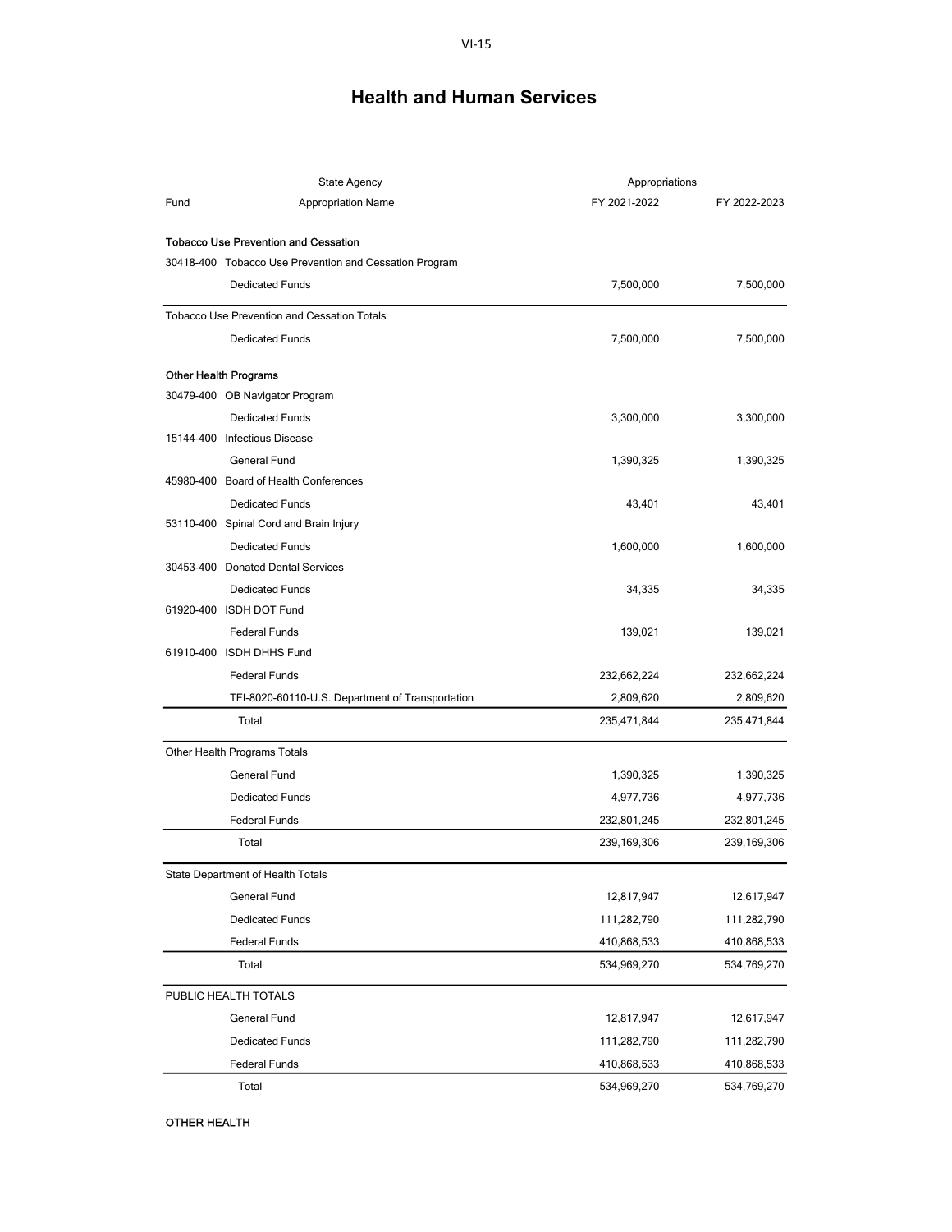|      | <b>State Agency</b>                                                                                   | Appropriations |              |
|------|-------------------------------------------------------------------------------------------------------|----------------|--------------|
| Fund | <b>Appropriation Name</b>                                                                             | FY 2021-2022   | FY 2022-2023 |
|      |                                                                                                       |                |              |
|      | <b>Tobacco Use Prevention and Cessation</b><br>30418-400 Tobacco Use Prevention and Cessation Program |                |              |
|      |                                                                                                       |                |              |
|      | <b>Dedicated Funds</b>                                                                                | 7,500,000      | 7,500,000    |
|      | <b>Tobacco Use Prevention and Cessation Totals</b>                                                    |                |              |
|      | <b>Dedicated Funds</b>                                                                                | 7,500,000      | 7,500,000    |
|      | <b>Other Health Programs</b>                                                                          |                |              |
|      | 30479-400 OB Navigator Program                                                                        |                |              |
|      | <b>Dedicated Funds</b>                                                                                | 3,300,000      | 3,300,000    |
|      | 15144-400 Infectious Disease                                                                          |                |              |
|      | General Fund                                                                                          | 1,390,325      | 1,390,325    |
|      | 45980-400 Board of Health Conferences                                                                 |                |              |
|      | <b>Dedicated Funds</b>                                                                                | 43,401         | 43,401       |
|      | 53110-400 Spinal Cord and Brain Injury                                                                |                |              |
|      | <b>Dedicated Funds</b>                                                                                | 1,600,000      | 1,600,000    |
|      | 30453-400 Donated Dental Services                                                                     |                |              |
|      | <b>Dedicated Funds</b>                                                                                | 34,335         | 34,335       |
|      | 61920-400 ISDH DOT Fund                                                                               |                |              |
|      | <b>Federal Funds</b>                                                                                  | 139,021        | 139,021      |
|      | 61910-400 ISDH DHHS Fund                                                                              |                |              |
|      | <b>Federal Funds</b>                                                                                  | 232,662,224    | 232,662,224  |
|      | TFI-8020-60110-U.S. Department of Transportation                                                      | 2,809,620      | 2,809,620    |
|      | Total                                                                                                 | 235,471,844    | 235,471,844  |
|      | Other Health Programs Totals                                                                          |                |              |
|      | <b>General Fund</b>                                                                                   | 1,390,325      | 1,390,325    |
|      | <b>Dedicated Funds</b>                                                                                | 4,977,736      | 4,977,736    |
|      | <b>Federal Funds</b>                                                                                  | 232,801,245    | 232,801,245  |
|      | Total                                                                                                 | 239,169,306    | 239,169,306  |
|      | State Department of Health Totals                                                                     |                |              |
|      | General Fund                                                                                          | 12,817,947     | 12,617,947   |
|      | <b>Dedicated Funds</b>                                                                                | 111,282,790    | 111,282,790  |
|      | <b>Federal Funds</b>                                                                                  | 410,868,533    | 410,868,533  |
|      | Total                                                                                                 | 534,969,270    | 534,769,270  |
|      | PUBLIC HEALTH TOTALS                                                                                  |                |              |
|      | General Fund                                                                                          | 12,817,947     | 12,617,947   |
|      | <b>Dedicated Funds</b>                                                                                | 111,282,790    | 111,282,790  |
|      | <b>Federal Funds</b>                                                                                  | 410,868,533    | 410,868,533  |
|      | Total                                                                                                 | 534,969,270    | 534,769,270  |

OTHER HEALTH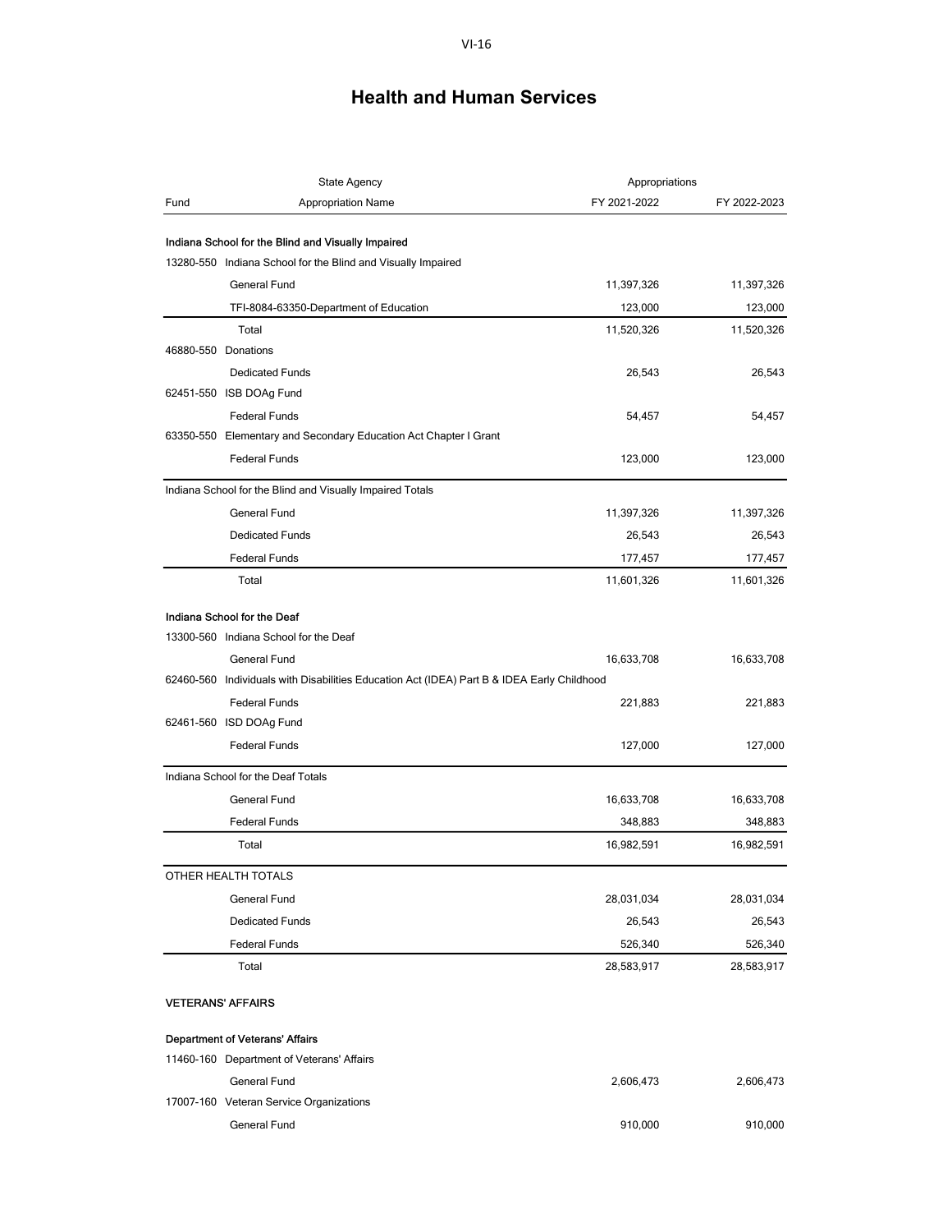|                     | State Agency                                                                                                       | Appropriations |              |
|---------------------|--------------------------------------------------------------------------------------------------------------------|----------------|--------------|
| Fund                | <b>Appropriation Name</b>                                                                                          | FY 2021-2022   | FY 2022-2023 |
|                     |                                                                                                                    |                |              |
|                     | Indiana School for the Blind and Visually Impaired<br>13280-550 Indiana School for the Blind and Visually Impaired |                |              |
|                     |                                                                                                                    |                |              |
|                     | General Fund                                                                                                       | 11,397,326     | 11,397,326   |
|                     | TFI-8084-63350-Department of Education                                                                             | 123,000        | 123,000      |
| 46880-550 Donations | Total                                                                                                              | 11,520,326     | 11,520,326   |
|                     |                                                                                                                    |                |              |
|                     | <b>Dedicated Funds</b>                                                                                             | 26,543         | 26,543       |
|                     | 62451-550 ISB DOAg Fund                                                                                            |                |              |
|                     | <b>Federal Funds</b>                                                                                               | 54,457         | 54,457       |
|                     | 63350-550 Elementary and Secondary Education Act Chapter I Grant                                                   |                |              |
|                     | <b>Federal Funds</b>                                                                                               | 123,000        | 123,000      |
|                     | Indiana School for the Blind and Visually Impaired Totals                                                          |                |              |
|                     | General Fund                                                                                                       | 11,397,326     | 11,397,326   |
|                     | <b>Dedicated Funds</b>                                                                                             | 26,543         | 26,543       |
|                     | <b>Federal Funds</b>                                                                                               | 177,457        | 177,457      |
|                     | Total                                                                                                              | 11,601,326     | 11,601,326   |
|                     | Indiana School for the Deaf                                                                                        |                |              |
|                     | 13300-560 Indiana School for the Deaf                                                                              |                |              |
|                     | General Fund                                                                                                       | 16,633,708     | 16,633,708   |
|                     | 62460-560 Individuals with Disabilities Education Act (IDEA) Part B & IDEA Early Childhood                         |                |              |
|                     | <b>Federal Funds</b>                                                                                               | 221,883        | 221,883      |
|                     | 62461-560 ISD DOAg Fund                                                                                            |                |              |
|                     | <b>Federal Funds</b>                                                                                               | 127,000        | 127,000      |
|                     | Indiana School for the Deaf Totals                                                                                 |                |              |
|                     | General Fund                                                                                                       | 16,633,708     | 16,633,708   |
|                     | <b>Federal Funds</b>                                                                                               | 348,883        | 348,883      |
|                     | Total                                                                                                              | 16,982,591     | 16,982,591   |
|                     | OTHER HEALTH TOTALS                                                                                                |                |              |
|                     | General Fund                                                                                                       | 28,031,034     | 28,031,034   |
|                     | <b>Dedicated Funds</b>                                                                                             | 26,543         | 26,543       |
|                     | <b>Federal Funds</b>                                                                                               | 526,340        | 526,340      |
|                     | Total                                                                                                              | 28,583,917     | 28,583,917   |
|                     | <b>VETERANS' AFFAIRS</b>                                                                                           |                |              |
|                     | <b>Department of Veterans' Affairs</b>                                                                             |                |              |
|                     | 11460-160 Department of Veterans' Affairs                                                                          |                |              |
|                     | General Fund                                                                                                       | 2,606,473      | 2,606,473    |
|                     | 17007-160 Veteran Service Organizations                                                                            |                |              |

General Fund 910,000 910,000 910,000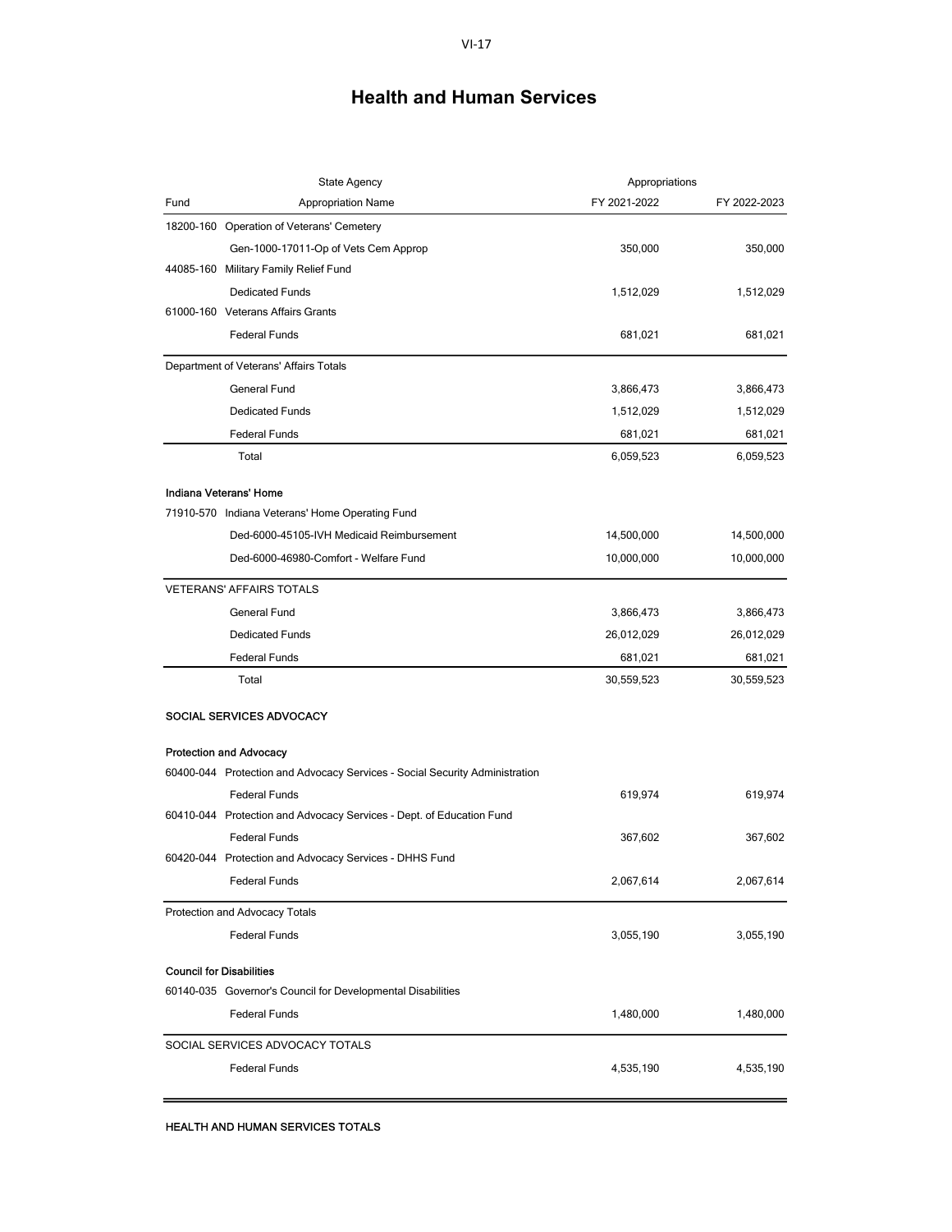|      | <b>State Agency</b>                                                         | Appropriations |              |
|------|-----------------------------------------------------------------------------|----------------|--------------|
| Fund | <b>Appropriation Name</b>                                                   | FY 2021-2022   | FY 2022-2023 |
|      | 18200-160 Operation of Veterans' Cemetery                                   |                |              |
|      | Gen-1000-17011-Op of Vets Cem Approp                                        | 350,000        | 350,000      |
|      | 44085-160 Military Family Relief Fund                                       |                |              |
|      | <b>Dedicated Funds</b>                                                      | 1,512,029      | 1,512,029    |
|      | 61000-160 Veterans Affairs Grants                                           |                |              |
|      | <b>Federal Funds</b>                                                        | 681,021        | 681,021      |
|      | Department of Veterans' Affairs Totals                                      |                |              |
|      | <b>General Fund</b>                                                         | 3,866,473      | 3,866,473    |
|      | <b>Dedicated Funds</b>                                                      | 1,512,029      | 1,512,029    |
|      | <b>Federal Funds</b>                                                        | 681,021        | 681,021      |
|      | Total                                                                       | 6,059,523      | 6,059,523    |
|      | Indiana Veterans' Home                                                      |                |              |
|      | 71910-570 Indiana Veterans' Home Operating Fund                             |                |              |
|      | Ded-6000-45105-IVH Medicaid Reimbursement                                   | 14,500,000     | 14,500,000   |
|      | Ded-6000-46980-Comfort - Welfare Fund                                       | 10,000,000     | 10,000,000   |
|      | <b>VETERANS' AFFAIRS TOTALS</b>                                             |                |              |
|      | General Fund                                                                | 3,866,473      | 3,866,473    |
|      | <b>Dedicated Funds</b>                                                      | 26,012,029     | 26,012,029   |
|      | <b>Federal Funds</b>                                                        | 681,021        | 681,021      |
|      | Total                                                                       | 30,559,523     | 30,559,523   |
|      | SOCIAL SERVICES ADVOCACY                                                    |                |              |
|      | <b>Protection and Advocacy</b>                                              |                |              |
|      | 60400-044 Protection and Advocacy Services - Social Security Administration |                |              |
|      | <b>Federal Funds</b>                                                        | 619,974        | 619,974      |
|      | 60410-044 Protection and Advocacy Services - Dept. of Education Fund        |                |              |
|      | <b>Federal Funds</b>                                                        | 367,602        | 367,602      |
|      | 60420-044 Protection and Advocacy Services - DHHS Fund                      |                |              |
|      | <b>Federal Funds</b>                                                        | 2,067,614      | 2,067,614    |
|      | Protection and Advocacy Totals                                              |                |              |
|      | <b>Federal Funds</b>                                                        | 3,055,190      | 3,055,190    |
|      | <b>Council for Disabilities</b>                                             |                |              |
|      | 60140-035 Governor's Council for Developmental Disabilities                 |                |              |
|      | <b>Federal Funds</b>                                                        | 1,480,000      | 1,480,000    |
|      | SOCIAL SERVICES ADVOCACY TOTALS                                             |                |              |
|      | <b>Federal Funds</b>                                                        | 4,535,190      | 4,535,190    |
|      |                                                                             |                |              |

L